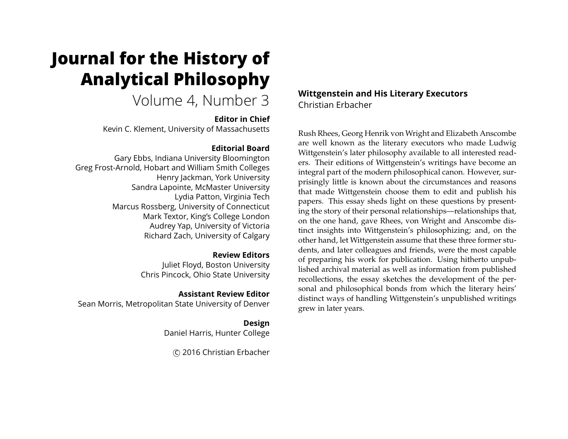# **Journal for the History of Analytical Philosophy**

Volume 4, Number 3

#### **Editor in Chief**

Kevin C. Klement, University of Massachusetts

## **Editorial Board**

Gary Ebbs, Indiana University Bloomington Greg Frost-Arnold, Hobart and William Smith Colleges Henry Jackman, York University Sandra Lapointe, McMaster University Lydia Patton, Virginia Tech Marcus Rossberg, University of Connecticut Mark Textor, King's College London Audrey Yap, University of Victoria Richard Zach, University of Calgary

#### **Review Editors**

Juliet Floyd, Boston University Chris Pincock, Ohio State University

#### **Assistant Review Editor**

Sean Morris, Metropolitan State University of Denver

#### **Design**

Daniel Harris, Hunter College

c 2016 Christian Erbacher

## **Wittgenstein and His Literary Executors** Christian Erbacher

Rush Rhees, Georg Henrik von Wright and Elizabeth Anscombe are well known as the literary executors who made Ludwig Wittgenstein's later philosophy available to all interested readers. Their editions of Wittgenstein's writings have become an integral part of the modern philosophical canon. However, surprisingly little is known about the circumstances and reasons that made Wittgenstein choose them to edit and publish his papers. This essay sheds light on these questions by presenting the story of their personal relationships—relationships that, on the one hand, gave Rhees, von Wright and Anscombe distinct insights into Wittgenstein's philosophizing; and, on the other hand, let Wittgenstein assume that these three former students, and later colleagues and friends, were the most capable of preparing his work for publication. Using hitherto unpublished archival material as well as information from published recollections, the essay sketches the development of the personal and philosophical bonds from which the literary heirs' distinct ways of handling Wittgenstein's unpublished writings grew in later years.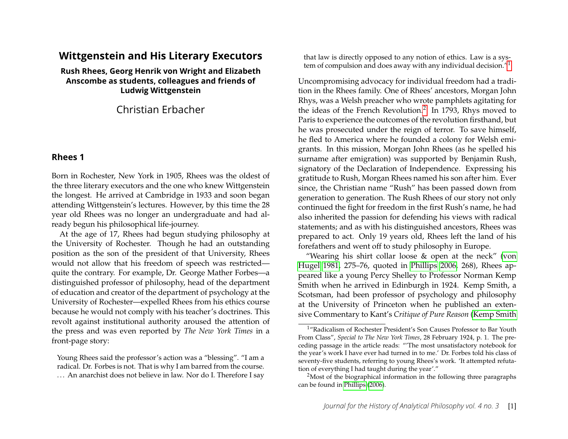# **Wittgenstein and His Literary Executors**

**Rush Rhees, Georg Henrik von Wright and Elizabeth Anscombe as students, colleagues and friends of Ludwig Wittgenstein**

Christian Erbacher

#### **Rhees 1**

Born in Rochester, New York in 1905, Rhees was the oldest of the three literary executors and the one who knew Wittgenstein the longest. He arrived at Cambridge in 1933 and soon began attending Wittgenstein's lectures. However, by this time the 28 year old Rhees was no longer an undergraduate and had already begun his philosophical life-journey.

At the age of 17, Rhees had begun studying philosophy at the University of Rochester. Though he had an outstanding position as the son of the president of that University, Rhees would not allow that his freedom of speech was restricted quite the contrary. For example, Dr. George Mather Forbes—a distinguished professor of philosophy, head of the department of education and creator of the department of psychology at the University of Rochester—expelled Rhees from his ethics course because he would not comply with his teacher's doctrines. This revolt against institutional authority aroused the attention of the press and was even reported by *The New York Times* in a front-page story:

Young Rhees said the professor's action was a "blessing". "I am a radical. Dr. Forbes is not. That is why I am barred from the course. ... An anarchist does not believe in law. Nor do I. Therefore I say that law is directly opposed to any notion of ethics. Law is a system of compulsion and does away with any individual decision."[1](#page-1-0)

Uncompromising advocacy for individual freedom had a tradition in the Rhees family. One of Rhees' ancestors, Morgan John Rhys, was a Welsh preacher who wrote pamphlets agitating for the ideas of the French Revolution.<sup>[2](#page-1-1)</sup> In 1793, Rhys moved to Paris to experience the outcomes of the revolution firsthand, but he was prosecuted under the reign of terror. To save himself, he fled to America where he founded a colony for Welsh emigrants. In this mission, Morgan John Rhees (as he spelled his surname after emigration) was supported by Benjamin Rush, signatory of the Declaration of Independence. Expressing his gratitude to Rush, Morgan Rhees named his son after him. Ever since, the Christian name "Rush" has been passed down from generation to generation. The Rush Rhees of our story not only continued the fight for freedom in the first Rush's name, he had also inherited the passion for defending his views with radical statements; and as with his distinguished ancestors, Rhees was prepared to act. Only 19 years old, Rhees left the land of his forefathers and went off to study philosophy in Europe.

"Wearing his shirt collar loose & open at the neck" [\(von](#page-38-0) [Hugel 1981,](#page-38-0) 275–76, quoted in [Phillips 2006,](#page-37-0) 268), Rhees appeared like a young Percy Shelley to Professor Norman Kemp Smith when he arrived in Edinburgh in 1924. Kemp Smith, a Scotsman, had been professor of psychology and philosophy at the University of Princeton when he published an extensive Commentary to Kant's *Critique of Pure Reason* [\(Kemp Smith](#page-37-1)

<span id="page-1-0"></span><sup>1</sup>"Radicalism of Rochester President's Son Causes Professor to Bar Youth From Class", *Special to The New York Times*, 28 February 1924, p. 1. The preceding passage in the article reads: "'The most unsatisfactory notebook for the year's work I have ever had turned in to me.' Dr. Forbes told his class of seventy-five students, referring to young Rhees's work. 'It attempted refutation of everything I had taught during the year'."

<span id="page-1-1"></span><sup>&</sup>lt;sup>2</sup>Most of the biographical information in the following three paragraphs can be found in [Phillips](#page-37-0) [\(2006\)](#page-37-0).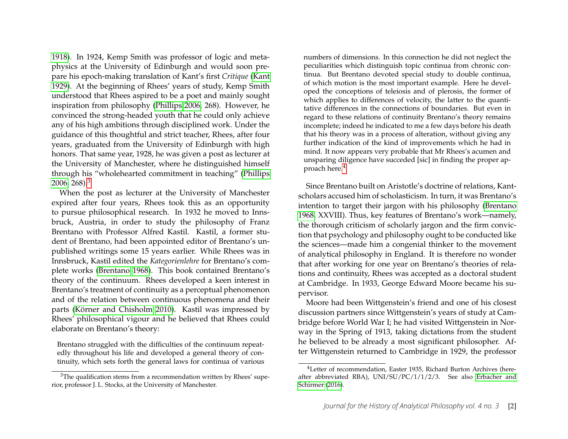[1918\)](#page-37-1). In 1924, Kemp Smith was professor of logic and metaphysics at the University of Edinburgh and would soon prepare his epoch-making translation of Kant's first *Critique* [\(Kant](#page-37-2) [1929\)](#page-37-2). At the beginning of Rhees' years of study, Kemp Smith understood that Rhees aspired to be a poet and mainly sought inspiration from philosophy [\(Phillips 2006,](#page-37-0) 268). However, he convinced the strong-headed youth that he could only achieve any of his high ambitions through disciplined work. Under the guidance of this thoughtful and strict teacher, Rhees, after four years, graduated from the University of Edinburgh with high honors. That same year, 1928, he was given a post as lecturer at the University of Manchester, where he distinguished himself through his "wholehearted commitment in teaching" [\(Phillips](#page-37-0)  $2006, 268$  $2006, 268$ <sup>[3](#page-2-0)</sup>

When the post as lecturer at the University of Manchester expired after four years, Rhees took this as an opportunity to pursue philosophical research. In 1932 he moved to Innsbruck, Austria, in order to study the philosophy of Franz Brentano with Professor Alfred Kastil. Kastil, a former student of Brentano, had been appointed editor of Brentano's unpublished writings some 15 years earlier. While Rhees was in Innsbruck, Kastil edited the *Kategorienlehre* for Brentano's complete works [\(Brentano 1968\)](#page-36-0). This book contained Brentano's theory of the continuum. Rhees developed a keen interest in Brentano's treatment of continuity as a perceptual phenomenon and of the relation between continuous phenomena and their parts [\(Körner and Chisholm 2010\)](#page-37-3). Kastil was impressed by Rhees' philosophical vigour and he believed that Rhees could elaborate on Brentano's theory:

Brentano struggled with the difficulties of the continuum repeatedly throughout his life and developed a general theory of continuity, which sets forth the general laws for continua of various

numbers of dimensions. In this connection he did not neglect the peculiarities which distinguish topic continua from chronic continua. But Brentano devoted special study to double continua, of which motion is the most important example. Here he developed the conceptions of teleiosis and of plerosis, the former of which applies to differences of velocity, the latter to the quantitative differences in the connections of boundaries. But even in regard to these relations of continuity Brentano's theory remains incomplete; indeed he indicated to me a few days before his death that his theory was in a process of alteration, without giving any further indication of the kind of improvements which he had in mind. It now appears very probable that Mr Rhees's acumen and unsparing diligence have succeded [sic] in finding the proper approach here.[4](#page-2-1)

Since Brentano built on Aristotle's doctrine of relations, Kantscholars accused him of scholasticism. In turn, it was Brentano's intention to target their jargon with his philosophy [\(Brentano](#page-36-0) [1968,](#page-36-0) XXVIII). Thus, key features of Brentano's work—namely, the thorough criticism of scholarly jargon and the firm conviction that psychology and philosophy ought to be conducted like the sciences—made him a congenial thinker to the movement of analytical philosophy in England. It is therefore no wonder that after working for one year on Brentano's theories of relations and continuity, Rhees was accepted as a doctoral student at Cambridge. In 1933, George Edward Moore became his supervisor.

Moore had been Wittgenstein's friend and one of his closest discussion partners since Wittgenstein's years of study at Cambridge before World War I; he had visited Wittgenstein in Norway in the Spring of 1913, taking dictations from the student he believed to be already a most significant philosopher. After Wittgenstein returned to Cambridge in 1929, the professor

<span id="page-2-0"></span> $3$ The qualification stems from a recommendation written by Rhees' superior, professor J. L. Stocks, at the University of Manchester.

<span id="page-2-1"></span><sup>&</sup>lt;sup>4</sup>Letter of recommendation, Easter 1935, Richard Burton Archives (hereafter abbreviated RBA), UNI/SU/PC/1/1/2/3. See also [Erbacher and](#page-36-1) [Schirmer](#page-36-1) [\(2016\)](#page-36-1).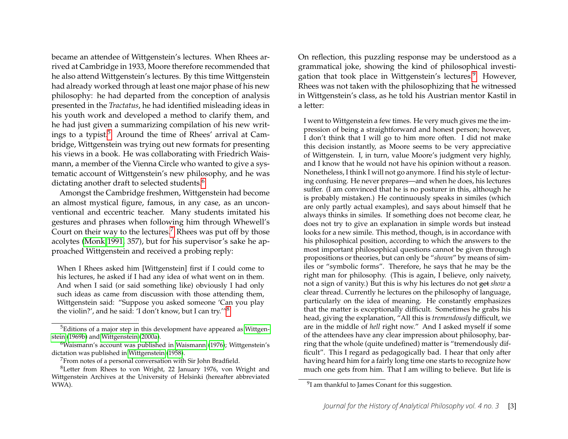became an attendee of Wittgenstein's lectures. When Rhees arrived at Cambridge in 1933, Moore therefore recommended that he also attend Wittgenstein's lectures. By this time Wittgenstein had already worked through at least one major phase of his new philosophy: he had departed from the conception of analysis presented in the *Tractatus*, he had identified misleading ideas in his youth work and developed a method to clarify them, and he had just given a summarizing compilation of his new writ-ings to a typist.<sup>[5](#page-3-0)</sup> Around the time of Rhees' arrival at Cambridge, Wittgenstein was trying out new formats for presenting his views in a book. He was collaborating with Friedrich Waismann, a member of the Vienna Circle who wanted to give a systematic account of Wittgenstein's new philosophy, and he was dictating another draft to selected students.<sup>[6](#page-3-1)</sup>

Amongst the Cambridge freshmen, Wittgenstein had become an almost mystical figure, famous, in any case, as an unconventional and eccentric teacher. Many students imitated his gestures and phrases when following him through Whewell's Court on their way to the lectures.<sup>[7](#page-3-2)</sup> Rhees was put off by those acolytes [\(Monk 1991,](#page-37-4) 357), but for his supervisor's sake he approached Wittgenstein and received a probing reply:

When I Rhees asked him [Wittgenstein] first if I could come to his lectures, he asked if I had any idea of what went on in them. And when I said (or said something like) obviously I had only such ideas as came from discussion with those attending them, Wittgenstein said: "Suppose you asked someone 'Can you play the violin?', and he said: 'I don't know, but I can try.'"[8](#page-3-3)

On reflection, this puzzling response may be understood as a grammatical joke, showing the kind of philosophical investi-gation that took place in Wittgenstein's lectures.<sup>[9](#page-3-4)</sup> However, Rhees was not taken with the philosophizing that he witnessed in Wittgenstein's class, as he told his Austrian mentor Kastil in a letter:

I went to Wittgenstein a few times. He very much gives me the impression of being a straightforward and honest person; however, I don't think that I will go to him more often. I did not make this decision instantly, as Moore seems to be very appreciative of Wittgenstein. I, in turn, value Moore's judgment very highly, and I know that he would not have his opinion without a reason. Nonetheless, I think I will not go anymore. I find his style of lecturing confusing. He never prepares—and when he does, his lectures suffer. (I am convinced that he is no posturer in this, although he is probably mistaken.) He continuously speaks in similes (which are only partly actual examples), and says about himself that he always thinks in similes. If something does not become clear, he does not try to give an explanation in simple words but instead looks for a new simile. This method, though, is in accordance with his philosophical position, according to which the answers to the most important philosophical questions cannot be given through propositions or theories, but can only be "*shown*" by means of similes or "symbolic forms". Therefore, he says that he may be the right man for philosophy. (This is again, I believe, only naivety, not a sign of vanity.) But this is why his lectures do not get *show* a clear thread. Currently he lectures on the philosophy of language, particularly on the idea of meaning. He constantly emphasizes that the matter is exceptionally difficult. Sometimes he grabs his head, giving the explanation, "All this is *tremendously* difficult, we are in the middle of *hell* right now." And I asked myself if some of the attendees have any clear impression about philosophy, barring that the whole (quite undefined) matter is "tremendously difficult". This I regard as pedagogically bad. I hear that only after having heard him for a fairly long time one starts to recognize how much one gets from him. That I am willing to believe. But life is

<span id="page-3-0"></span><sup>5</sup>Editions of a major step in this development have appeared as [Wittgen](#page-38-1)[stein](#page-38-1) [\(1969b\)](#page-38-1) and [Wittgenstein](#page-39-0) [\(2000a\)](#page-39-0).

<span id="page-3-1"></span> $6$ Waismann's account was published in [Waismann](#page-38-2) [\(1976\)](#page-38-2); Wittgenstein's dictation was published in [Wittgenstein](#page-38-3) [\(1958\)](#page-38-3).

<span id="page-3-3"></span><span id="page-3-2"></span><sup>7</sup>From notes of a personal conversation with Sir John Bradfield.

<sup>&</sup>lt;sup>8</sup>Letter from Rhees to von Wright, 22 January 1976, von Wright and Wittgenstein Archives at the University of Helsinki (hereafter abbreviated WWA).

<span id="page-3-4"></span> $9$ I am thankful to James Conant for this suggestion.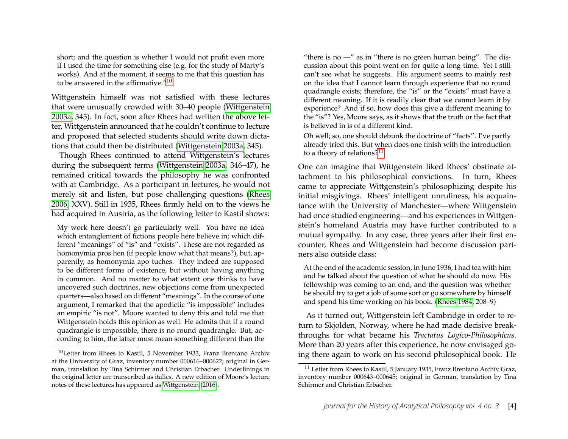short; and the question is whether I would not profit even more if I used the time for something else (e.g. for the study of Marty's works). And at the moment, it seems to me that this question has to be answered in the affirmative. $10<sup>10</sup>$  $10<sup>10</sup>$ 

Wittgenstein himself was not satisfied with these lectures that were unusually crowded with 30–40 people [\(Wittgenstein](#page-39-1) [2003a,](#page-39-1) 345). In fact, soon after Rhees had written the above letter, Wittgenstein announced that he couldn't continue to lecture and proposed that selected students should write down dictations that could then be distributed [\(Wittgenstein 2003a,](#page-39-1) 345).

Though Rhees continued to attend Wittgenstein's lectures during the subsequent terms [\(Wittgenstein 2003a,](#page-39-1) 346–47), he remained critical towards the philosophy he was confronted with at Cambridge. As a participant in lectures, he would not merely sit and listen, but pose challenging questions [\(Rhees](#page-37-5) [2006,](#page-37-5) XXV). Still in 1935, Rhees firmly held on to the views he had acquired in Austria, as the following letter to Kastil shows:

My work here doesn't go particularly well. You have no idea which entanglement of fictions people here believe in; which different "meanings" of "is" and "exists". These are not regarded as homonymia pros hen (if people know what that means?), but, apparently, as homonymia apo tuches. They indeed are supposed to be different forms of existence, but without having anything in common. And no matter to what extent one thinks to have uncovered such doctrines, new objections come from unexpected quarters—also based on different "meanings". In the course of one argument, I remarked that the apodictic "is impossible" includes an empiric "is not". Moore wanted to deny this and told me that Wittgenstein holds this opinion as well. He admits that if a round quadrangle is impossible, there is no round quadrangle. But, according to him, the latter must mean something different than the "there is no  $-$ " as in "there is no green human being". The discussion about this point went on for quite a long time. Yet I still can't see what he suggests. His argument seems to mainly rest on the idea that I cannot learn through experience that no round quadrangle exists; therefore, the "is" or the "exists" must have a different meaning. If it is readily clear that we cannot learn it by experience? And if so, how does this give a different meaning to the "is"? Yes, Moore says, as it shows that the truth or the fact that is believed in is of a different kind.

Oh well; so, one should debunk the doctrine of "facts". I've partly already tried this. But when does one finish with the introduction to a theory of relations?<sup>[11](#page-4-1)</sup>

One can imagine that Wittgenstein liked Rhees' obstinate attachment to his philosophical convictions. In turn, Rhees came to appreciate Wittgenstein's philosophizing despite his initial misgivings. Rhees' intelligent unruliness, his acquaintance with the University of Manchester—where Wittgenstein had once studied engineering—and his experiences in Wittgenstein's homeland Austria may have further contributed to a mutual sympathy. In any case, three years after their first encounter, Rhees and Wittgenstein had become discussion partners also outside class:

At the end of the academic session, in June 1936, I had tea with him and he talked about the question of what he should do now. His fellowship was coming to an end, and the question was whether he should try to get a job of some sort or go somewhere by himself and spend his time working on his book. [\(Rhees 1984,](#page-37-6) 208–9)

As it turned out, Wittgenstein left Cambridge in order to return to Skjolden, Norway, where he had made decisive breakthroughs for what became his *Tractatus Logico-Philosophicus*. More than 20 years after this experience, he now envisaged going there again to work on his second philosophical book. He

<span id="page-4-0"></span> $10$ Letter from Rhees to Kastil, 5 November 1933, Franz Brentano Archiv at the University of Graz, inventory number 000616–000622; original in German, translation by Tina Schirmer and Christian Erbacher. Underlinings in the original letter are transcribed as italics. A new edition of Moore's lecture notes of these lectures has appeared as [Wittgenstein](#page-39-2) [\(2016\)](#page-39-2).

<span id="page-4-1"></span><sup>&</sup>lt;sup>11</sup> Letter from Rhees to Kastil, 5 January 1935, Franz Brentano Archiv Graz, inventory number 000643–000645; original in German, translation by Tina Schirmer and Christian Erbacher.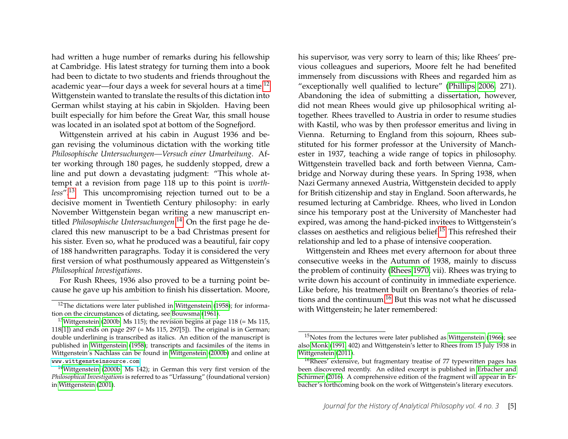had written a huge number of remarks during his fellowship at Cambridge. His latest strategy for turning them into a book had been to dictate to two students and friends throughout the academic year—four days a week for several hours at a time.<sup>[12](#page-5-0)</sup> Wittgenstein wanted to translate the results of this dictation into German whilst staying at his cabin in Skjolden. Having been built especially for him before the Great War, this small house was located in an isolated spot at bottom of the Sognefjord.

Wittgenstein arrived at his cabin in August 1936 and began revising the voluminous dictation with the working title *Philosophische Untersuchungen—Versuch einer Umarbeitung*. After working through 180 pages, he suddenly stopped, drew a line and put down a devastating judgment: "This whole attempt at a revision from page 118 up to this point is *worthless*".[13](#page-5-1) This uncompromising rejection turned out to be a decisive moment in Twentieth Century philosophy: in early November Wittgenstein began writing a new manuscript entitled *Philosophische Untersuchungen*. [14](#page-5-2) On the first page he declared this new manuscript to be a bad Christmas present for his sister. Even so, what he produced was a beautiful, fair copy of 188 handwritten paragraphs. Today it is considered the very first version of what posthumously appeared as Wittgenstein's *Philosophical Investigations*.

For Rush Rhees, 1936 also proved to be a turning point because he gave up his ambition to finish his dissertation. Moore, his supervisor, was very sorry to learn of this; like Rhees' previous colleagues and superiors, Moore felt he had benefited immensely from discussions with Rhees and regarded him as "exceptionally well qualified to lecture" [\(Phillips 2006,](#page-37-0) 271). Abandoning the idea of submitting a dissertation, however, did not mean Rhees would give up philosophical writing altogether. Rhees travelled to Austria in order to resume studies with Kastil, who was by then professor emeritus and living in Vienna. Returning to England from this sojourn, Rhees substituted for his former professor at the University of Manchester in 1937, teaching a wide range of topics in philosophy. Wittgenstein travelled back and forth between Vienna, Cambridge and Norway during these years. In Spring 1938, when Nazi Germany annexed Austria, Wittgenstein decided to apply for British citizenship and stay in England. Soon afterwards, he resumed lecturing at Cambridge. Rhees, who lived in London since his temporary post at the University of Manchester had expired, was among the hand-picked invitees to Wittgenstein's classes on aesthetics and religious belief.[15](#page-5-3) This refreshed their relationship and led to a phase of intensive cooperation.

Wittgenstein and Rhees met every afternoon for about three consecutive weeks in the Autumn of 1938, mainly to discuss the problem of continuity [\(Rhees 1970,](#page-37-7) vii). Rhees was trying to write down his account of continuity in immediate experience. Like before, his treatment built on Brentano's theories of relations and the continuum.[16](#page-5-4) But this was not what he discussed with Wittgenstein; he later remembered:

<span id="page-5-0"></span> $12$ The dictations were later published in [Wittgenstein](#page-38-3) [\(1958\)](#page-38-3); for information on the circumstances of dictating, see [Bouwsma](#page-36-2) [\(1961\)](#page-36-2).

<span id="page-5-1"></span><sup>&</sup>lt;sup>13</sup>[Wittgenstein](#page-39-3) [\(2000b,](#page-39-3) Ms 115); the revision begins at page 118 (= Ms 115, 118[1]) and ends on page 297 (= Ms 115, 297[5]). The original is in German; double underlining is transcribed as italics. An edition of the manuscript is published in [Wittgenstein](#page-38-3) [\(1958\)](#page-38-3); transcripts and facsimiles of the items in Wittgenstein's Nachlass can be found in [Wittgenstein](#page-39-3) [\(2000b\)](#page-39-3) and online at <www.wittgensteinsource.com>.

<span id="page-5-2"></span><sup>14</sup>[Wittgenstein](#page-39-3) [\(2000b,](#page-39-3) Ms 142); in German this very first version of the *Philosophical Investigations*is referred to as "Urfassung" (foundational version) in [Wittgenstein](#page-39-4) [\(2001\)](#page-39-4).

<span id="page-5-3"></span> $15$ Notes from the lectures were later published as [Wittgenstein](#page-38-4) [\(1966\)](#page-38-4); see also [Monk](#page-37-4) [\(1991,](#page-37-4) 402) and Wittgenstein's letter to Rhees from 15 July 1938 in [Wittgenstein](#page-39-5) [\(2011\)](#page-39-5).

<span id="page-5-4"></span><sup>&</sup>lt;sup>16</sup>Rhees' extensive, but fragmentary treatise of 77 typewritten pages has been discovered recently. An edited excerpt is published in [Erbacher and](#page-36-1) [Schirmer](#page-36-1) [\(2016\)](#page-36-1). A comprehensive edition of the fragment will appear in Erbacher's forthcoming book on the work of Wittgenstein's literary executors.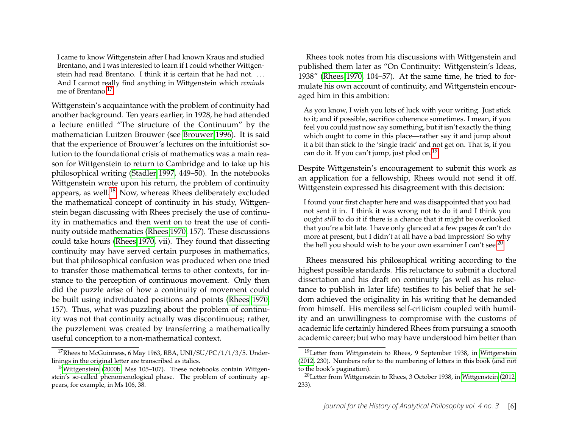I came to know Wittgenstein after I had known Kraus and studied Brentano, and I was interested to learn if I could whether Wittgenstein had read Brentano. I think it is certain that he had not. . . . And I cannot really find anything in Wittgenstein which *reminds* me of Brentano.<sup>[17](#page-6-0)</sup>

Wittgenstein's acquaintance with the problem of continuity had another background. Ten years earlier, in 1928, he had attended a lecture entitled "The structure of the Continuum" by the mathematician Luitzen Brouwer (see [Brouwer 1996\)](#page-36-3). It is said that the experience of Brouwer's lectures on the intuitionist solution to the foundational crisis of mathematics was a main reason for Wittgenstein to return to Cambridge and to take up his philosophical writing [\(Stadler 1997,](#page-37-8) 449–50). In the notebooks Wittgenstein wrote upon his return, the problem of continuity appears, as well.<sup>[18](#page-6-1)</sup> Now, whereas Rhees deliberately excluded the mathematical concept of continuity in his study, Wittgenstein began discussing with Rhees precisely the use of continuity in mathematics and then went on to treat the use of continuity outside mathematics [\(Rhees 1970,](#page-37-7) 157). These discussions could take hours [\(Rhees 1970,](#page-37-7) vii). They found that dissecting continuity may have served certain purposes in mathematics, but that philosophical confusion was produced when one tried to transfer those mathematical terms to other contexts, for instance to the perception of continuous movement. Only then did the puzzle arise of how a continuity of movement could be built using individuated positions and points [\(Rhees 1970,](#page-37-7) 157). Thus, what was puzzling about the problem of continuity was not that continuity actually was discontinuous; rather, the puzzlement was created by transferring a mathematically useful conception to a non-mathematical context.

Rhees took notes from his discussions with Wittgenstein and published them later as "On Continuity: Wittgenstein's Ideas, 1938" [\(Rhees 1970,](#page-37-7) 104–57). At the same time, he tried to formulate his own account of continuity, and Wittgenstein encouraged him in this ambition:

As you know, I wish you lots of luck with your writing. Just stick to it; and if possible, sacrifice coherence sometimes. I mean, if you feel you could just now say something, but it isn't exactly the thing which ought to come in this place—rather say it and jump about it a bit than stick to the 'single track' and not get on. That is, if you can do it. If you can't jump, just plod on.[19](#page-6-2)

Despite Wittgenstein's encouragement to submit this work as an application for a fellowship, Rhees would not send it off. Wittgenstein expressed his disagreement with this decision:

I found your first chapter here and was disappointed that you had not sent it in. I think it was wrong not to do it and I think you ought *still* to do it if there is a chance that it might be overlooked that you're a bit late. I have only glanced at a few pages & can't do more at present, but I didn't at all have a bad impression! So why the hell you should wish to be your own examiner I can't see.<sup>[20](#page-6-3)</sup>

Rhees measured his philosophical writing according to the highest possible standards. His reluctance to submit a doctoral dissertation and his draft on continuity (as well as his reluctance to publish in later life) testifies to his belief that he seldom achieved the originality in his writing that he demanded from himself. His merciless self-criticism coupled with humility and an unwillingness to compromise with the customs of academic life certainly hindered Rhees from pursuing a smooth academic career; but who may have understood him better than

<span id="page-6-0"></span><sup>&</sup>lt;sup>17</sup>Rhees to McGuinness, 6 May 1963, RBA, UNI/SU/PC/1/1/3/5. Underlinings in the original letter are transcribed as italics.

<span id="page-6-1"></span> $18W$ ittgenstein [\(2000b,](#page-39-3) Mss 105–107). These notebooks contain Wittgenstein's so-called phenomenological phase. The problem of continuity appears, for example, in Ms 106, 38.

<span id="page-6-2"></span><sup>&</sup>lt;sup>19</sup>Letter from [Wittgenstein](#page-39-6) to Rhees, 9 September 1938, in Wittgenstein [\(2012,](#page-39-6) 230). Numbers refer to the numbering of letters in this book (and not to the book's pagination).

<span id="page-6-3"></span> $^{20}$ Letter from [Wittgenstein](#page-39-6) to Rhees, 3 October 1938, in Wittgenstein [\(2012,](#page-39-6) 233).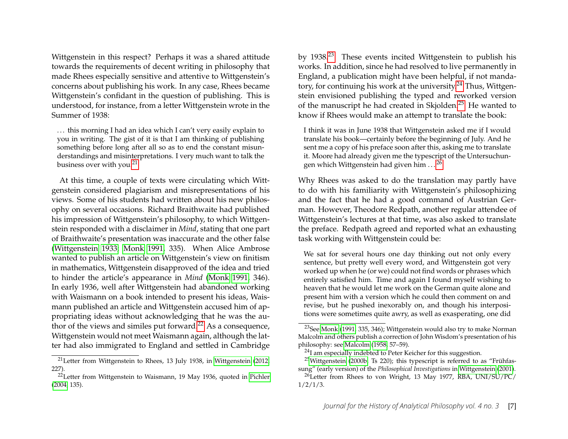Wittgenstein in this respect? Perhaps it was a shared attitude towards the requirements of decent writing in philosophy that made Rhees especially sensitive and attentive to Wittgenstein's concerns about publishing his work. In any case, Rhees became Wittgenstein's confidant in the question of publishing. This is understood, for instance, from a letter Wittgenstein wrote in the Summer of 1938:

... this morning I had an idea which I can't very easily explain to you in writing. The gist of it is that I am thinking of publishing something before long after all so as to end the constant misunderstandings and misinterpretations. I very much want to talk the business over with you.<sup>[21](#page-7-0)</sup>

At this time, a couple of texts were circulating which Wittgenstein considered plagiarism and misrepresentations of his views. Some of his students had written about his new philosophy on several occasions. Richard Braithwaite had published his impression of Wittgenstein's philosophy, to which Wittgenstein responded with a disclaimer in *Mind*, stating that one part of Braithwaite's presentation was inaccurate and the other false [\(Wittgenstein 1933;](#page-38-5) [Monk 1991,](#page-37-4) 335). When Alice Ambrose wanted to publish an article on Wittgenstein's view on finitism in mathematics, Wittgenstein disapproved of the idea and tried to hinder the article's appearance in *Mind* [\(Monk 1991,](#page-37-4) 346). In early 1936, well after Wittgenstein had abandoned working with Waismann on a book intended to present his ideas, Waismann published an article and Wittgenstein accused him of appropriating ideas without acknowledging that he was the au-thor of the views and similes put forward.<sup>[22](#page-7-1)</sup> As a consequence, Wittgenstein would not meet Waismann again, although the latter had also immigrated to England and settled in Cambridge by 1938.[23](#page-7-2) These events incited Wittgenstein to publish his works. In addition, since he had resolved to live permanently in England, a publication might have been helpful, if not manda-tory, for continuing his work at the university.<sup>[24](#page-7-3)</sup> Thus, Wittgenstein envisioned publishing the typed and reworked version of the manuscript he had created in Skjolden.<sup>[25](#page-7-4)</sup> He wanted to know if Rhees would make an attempt to translate the book:

I think it was in June 1938 that Wittgenstein asked me if I would translate his book—certainly before the beginning of July. And he sent me a copy of his preface soon after this, asking me to translate it. Moore had already given me the typescript of the Untersuchungen which Wittgenstein had given him  $\ldots^{26}$  $\ldots^{26}$  $\ldots^{26}$ 

Why Rhees was asked to do the translation may partly have to do with his familiarity with Wittgenstein's philosophizing and the fact that he had a good command of Austrian German. However, Theodore Redpath, another regular attendee of Wittgenstein's lectures at that time, was also asked to translate the preface. Redpath agreed and reported what an exhausting task working with Wittgenstein could be:

We sat for several hours one day thinking out not only every sentence, but pretty well every word, and Wittgenstein got very worked up when he (or we) could not find words or phrases which entirely satisfied him. Time and again I found myself wishing to heaven that he would let me work on the German quite alone and present him with a version which he could then comment on and revise, but he pushed inexorably on, and though his interpositions were sometimes quite awry, as well as exasperating, one did

<span id="page-7-0"></span><sup>21</sup>Letter from Wittgenstein to Rhees, 13 July 1938, in [Wittgenstein](#page-39-6) [\(2012,](#page-39-6) 227).

<span id="page-7-1"></span> $22$ Letter from Wittgenstein to Waismann, 19 May 1936, quoted in [Pichler](#page-37-9) [\(2004,](#page-37-9) 135).

<span id="page-7-2"></span><sup>&</sup>lt;sup>23</sup>See [Monk](#page-37-4) [\(1991,](#page-37-4) 335, 346); Wittgenstein would also try to make Norman Malcolm and others publish a correction of John Wisdom's presentation of his philosophy: see [Malcolm](#page-37-10) [\(1958,](#page-37-10) 57–59).

<span id="page-7-4"></span><span id="page-7-3"></span> $^{24}$ I am especially indebted to Peter Keicher for this suggestion.

 $25$ [Wittgenstein](#page-39-3) [\(2000b,](#page-39-3) Ts 220); this typescript is referred to as "Frühfassung" (early version) of the *Philosophical Investigations* in [Wittgenstein](#page-39-4) [\(2001\)](#page-39-4).

<span id="page-7-5"></span><sup>&</sup>lt;sup>26</sup>Letter from Rhees to von Wright, 13 May 1977, RBA, UNI/SU/PC/ 1/2/1/3.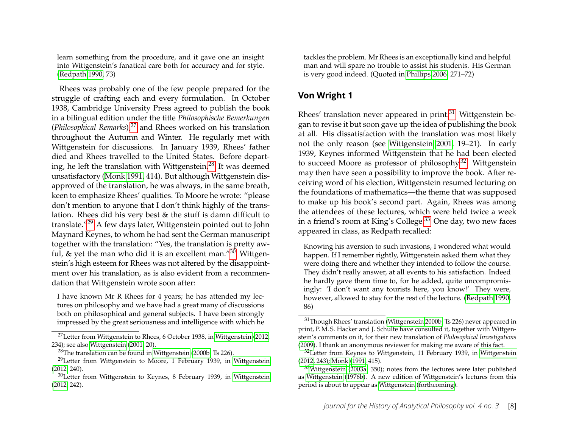learn something from the procedure, and it gave one an insight into Wittgenstein's fanatical care both for accuracy and for style. [\(Redpath 1990,](#page-37-11) 73)

Rhees was probably one of the few people prepared for the struggle of crafting each and every formulation. In October 1938, Cambridge University Press agreed to publish the book in a bilingual edition under the title *Philosophische Bemerkungen* (*Philosophical Remarks*),<sup>[27](#page-8-0)</sup> and Rhees worked on his translation throughout the Autumn and Winter. He regularly met with Wittgenstein for discussions. In January 1939, Rhees' father died and Rhees travelled to the United States. Before departing, he left the translation with Wittgenstein.[28](#page-8-1) It was deemed unsatisfactory [\(Monk 1991,](#page-37-4) 414). But although Wittgenstein disapproved of the translation, he was always, in the same breath, keen to emphasize Rhees' qualities. To Moore he wrote: "please don't mention to anyone that I don't think highly of the translation. Rhees did his very best & the stuff is damn difficult to translate."[29](#page-8-2) A few days later, Wittgenstein pointed out to John Maynard Keynes, to whom he had sent the German manuscript together with the translation: "Yes, the translation is pretty awful, & yet the man who did it is an excellent man." $30$  Wittgenstein's high esteem for Rhees was not altered by the disappointment over his translation, as is also evident from a recommendation that Wittgenstein wrote soon after:

I have known Mr R Rhees for 4 years; he has attended my lectures on philosophy and we have had a great many of discussions both on philosophical and general subjects. I have been strongly impressed by the great seriousness and intelligence with which he

tackles the problem. Mr Rhees is an exceptionally kind and helpful man and will spare no trouble to assist his students. His German is very good indeed. (Quoted in [Phillips 2006,](#page-37-0) 271–72)

## **Von Wright 1**

Rhees' translation never appeared in print. $31$  Wittgenstein began to revise it but soon gave up the idea of publishing the book at all. His dissatisfaction with the translation was most likely not the only reason (see [Wittgenstein 2001,](#page-39-4) 19–21). In early 1939, Keynes informed Wittgenstein that he had been elected to succeed Moore as professor of philosophy.<sup>[32](#page-8-5)</sup> Wittgenstein may then have seen a possibility to improve the book. After receiving word of his election, Wittgenstein resumed lecturing on the foundations of mathematics—the theme that was supposed to make up his book's second part. Again, Rhees was among the attendees of these lectures, which were held twice a week in a friend's room at King's College.<sup>[33](#page-8-6)</sup> One day, two new faces appeared in class, as Redpath recalled:

Knowing his aversion to such invasions, I wondered what would happen. If I remember rightly, Wittgenstein asked them what they were doing there and whether they intended to follow the course. They didn't really answer, at all events to his satisfaction. Indeed he hardly gave them time to, for he added, quite uncompromisingly: 'I don't want any tourists here, you know!' They were, however, allowed to stay for the rest of the lecture. [\(Redpath 1990,](#page-37-11) 86)

<span id="page-8-0"></span><sup>27</sup>Letter from Wittgenstein to Rhees, 6 October 1938, in [Wittgenstein](#page-39-6) [\(2012,](#page-39-6) 234); see also [Wittgenstein](#page-39-4) [\(2001,](#page-39-4) 20).

<span id="page-8-2"></span><span id="page-8-1"></span> $28$ The translation can be found in [Wittgenstein](#page-39-3) [\(2000b,](#page-39-3) Ts 226).

 $29$ Letter from [Wittgenstein](#page-39-6) to Moore, 1 February 1939, in Wittgenstein [\(2012,](#page-39-6) 240).

<span id="page-8-3"></span> $30$ Letter from [Wittgenstein](#page-39-6) to Keynes, 8 February 1939, in Wittgenstein [\(2012,](#page-39-6) 242).

<span id="page-8-4"></span> $31$ Though Rhees' translation [\(Wittgenstein 2000b,](#page-39-3) Ts 226) never appeared in print, P. M. S. Hacker and J. Schulte have consulted it, together with Wittgenstein's comments on it, for their new translation of *Philosophical Investigations* [\(2009\)](#page-39-7). I thank an anonymous reviewer for making me aware of this fact.

<span id="page-8-5"></span> $32$ Letter from Keynes to [Wittgenstein](#page-39-6), 11 February 1939, in Wittgenstein [\(2012,](#page-39-6) 243); [Monk](#page-37-4) [\(1991,](#page-37-4) 415).

<span id="page-8-6"></span><sup>&</sup>lt;sup>33</sup>[Wittgenstein](#page-39-1) [\(2003a,](#page-39-1) 350); notes from the lectures were later published as [Wittgenstein](#page-38-6) [\(1976b\)](#page-38-6). A new edition of Wittgenstein's lectures from this period is about to appear as [Wittgenstein](#page-39-8) [\(forthcoming\)](#page-39-8).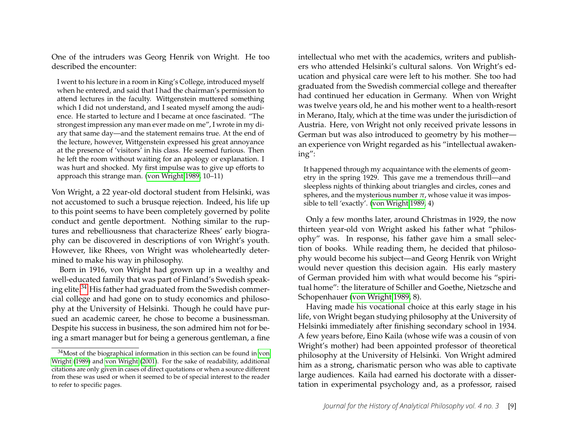One of the intruders was Georg Henrik von Wright. He too described the encounter:

I went to his lecture in a room in King's College, introduced myself when he entered, and said that I had the chairman's permission to attend lectures in the faculty. Wittgenstein muttered something which I did not understand, and I seated myself among the audience. He started to lecture and I became at once fascinated. "The strongest impression any man ever made on me", I wrote in my diary that same day—and the statement remains true. At the end of the lecture, however, Wittgenstein expressed his great annoyance at the presence of 'visitors' in his class. He seemed furious. Then he left the room without waiting for an apology or explanation. I was hurt and shocked. My first impulse was to give up efforts to approach this strange man. [\(von Wright 1989,](#page-38-7) 10–11)

Von Wright, a 22 year-old doctoral student from Helsinki, was not accustomed to such a brusque rejection. Indeed, his life up to this point seems to have been completely governed by polite conduct and gentle deportment. Nothing similar to the ruptures and rebelliousness that characterize Rhees' early biography can be discovered in descriptions of von Wright's youth. However, like Rhees, von Wright was wholeheartedly determined to make his way in philosophy.

Born in 1916, von Wright had grown up in a wealthy and well-educated family that was part of Finland's Swedish speak-ing elite.<sup>[34](#page-9-0)</sup> His father had graduated from the Swedish commercial college and had gone on to study economics and philosophy at the University of Helsinki. Though he could have pursued an academic career, he chose to become a businessman. Despite his success in business, the son admired him not for being a smart manager but for being a generous gentleman, a fine

intellectual who met with the academics, writers and publishers who attended Helsinki's cultural salons. Von Wright's education and physical care were left to his mother. She too had graduated from the Swedish commercial college and thereafter had continued her education in Germany. When von Wright was twelve years old, he and his mother went to a health-resort in Merano, Italy, which at the time was under the jurisdiction of Austria. Here, von Wright not only received private lessons in German but was also introduced to geometry by his mother an experience von Wright regarded as his "intellectual awakening":

It happened through my acquaintance with the elements of geometry in the spring 1929. This gave me a tremendous thrill—and sleepless nights of thinking about triangles and circles, cones and spheres, and the mysterious number  $\pi$ , whose value it was impossible to tell 'exactly'. [\(von Wright 1989,](#page-38-7) 4)

Only a few months later, around Christmas in 1929, the now thirteen year-old von Wright asked his father what "philosophy" was. In response, his father gave him a small selection of books. While reading them, he decided that philosophy would become his subject—and Georg Henrik von Wright would never question this decision again. His early mastery of German provided him with what would become his "spiritual home": the literature of Schiller and Goethe, Nietzsche and Schopenhauer [\(von Wright 1989,](#page-38-7) 8).

Having made his vocational choice at this early stage in his life, von Wright began studying philosophy at the University of Helsinki immediately after finishing secondary school in 1934. A few years before, Eino Kaila (whose wife was a cousin of von Wright's mother) had been appointed professor of theoretical philosophy at the University of Helsinki. Von Wright admired him as a strong, charismatic person who was able to captivate large audiences. Kaila had earned his doctorate with a dissertation in experimental psychology and, as a professor, raised

<span id="page-9-0"></span> $34$ Most of the biographical information in this section can be found in [von](#page-38-7) [Wright](#page-38-7) [\(1989\)](#page-38-7) and [von Wright](#page-38-8) [\(2001\)](#page-38-8). For the sake of readability, additional citations are only given in cases of direct quotations or when a source different from these was used or when it seemed to be of special interest to the reader to refer to specific pages.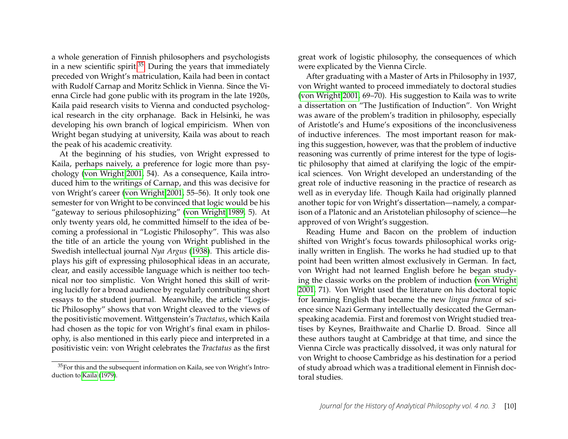a whole generation of Finnish philosophers and psychologists in a new scientific spirit. $35$  During the years that immediately preceded von Wright's matriculation, Kaila had been in contact with Rudolf Carnap and Moritz Schlick in Vienna. Since the Vienna Circle had gone public with its program in the late 1920s, Kaila paid research visits to Vienna and conducted psychological research in the city orphanage. Back in Helsinki, he was developing his own branch of logical empiricism. When von Wright began studying at university, Kaila was about to reach the peak of his academic creativity.

At the beginning of his studies, von Wright expressed to Kaila, perhaps naively, a preference for logic more than psychology [\(von Wright 2001,](#page-38-8) 54). As a consequence, Kaila introduced him to the writings of Carnap, and this was decisive for von Wright's career [\(von Wright 2001,](#page-38-8) 55–56). It only took one semester for von Wright to be convinced that logic would be his "gateway to serious philosophizing" [\(von Wright 1989,](#page-38-7) 5). At only twenty years old, he committed himself to the idea of becoming a professional in "Logistic Philosophy". This was also the title of an article the young von Wright published in the Swedish intellectual journal *Nya Argus* [\(1938\)](#page-38-9). This article displays his gift of expressing philosophical ideas in an accurate, clear, and easily accessible language which is neither too technical nor too simplistic. Von Wright honed this skill of writing lucidly for a broad audience by regularly contributing short essays to the student journal. Meanwhile, the article "Logistic Philosophy" shows that von Wright cleaved to the views of the positivistic movement. Wittgenstein's *Tractatus*, which Kaila had chosen as the topic for von Wright's final exam in philosophy, is also mentioned in this early piece and interpreted in a positivistic vein: von Wright celebrates the *Tractatus* as the first

<span id="page-10-0"></span><sup>35</sup>For this and the subsequent information on Kaila, see von Wright's Introduction to [Kaila](#page-37-12) [\(1979\)](#page-37-12).

great work of logistic philosophy, the consequences of which were explicated by the Vienna Circle.

After graduating with a Master of Arts in Philosophy in 1937, von Wright wanted to proceed immediately to doctoral studies [\(von Wright 2001,](#page-38-8) 69–70). His suggestion to Kaila was to write a dissertation on "The Justification of Induction". Von Wright was aware of the problem's tradition in philosophy, especially of Aristotle's and Hume's expositions of the inconclusiveness of inductive inferences. The most important reason for making this suggestion, however, was that the problem of inductive reasoning was currently of prime interest for the type of logistic philosophy that aimed at clarifying the logic of the empirical sciences. Von Wright developed an understanding of the great role of inductive reasoning in the practice of research as well as in everyday life. Though Kaila had originally planned another topic for von Wright's dissertation—namely, a comparison of a Platonic and an Aristotelian philosophy of science—he approved of von Wright's suggestion.

Reading Hume and Bacon on the problem of induction shifted von Wright's focus towards philosophical works originally written in English. The works he had studied up to that point had been written almost exclusively in German. In fact, von Wright had not learned English before he began studying the classic works on the problem of induction [\(von Wright](#page-38-8) [2001,](#page-38-8) 71). Von Wright used the literature on his doctoral topic for learning English that became the new *lingua franca* of science since Nazi Germany intellectually desiccated the Germanspeaking academia. First and foremost von Wright studied treatises by Keynes, Braithwaite and Charlie D. Broad. Since all these authors taught at Cambridge at that time, and since the Vienna Circle was practically dissolved, it was only natural for von Wright to choose Cambridge as his destination for a period of study abroad which was a traditional element in Finnish doctoral studies.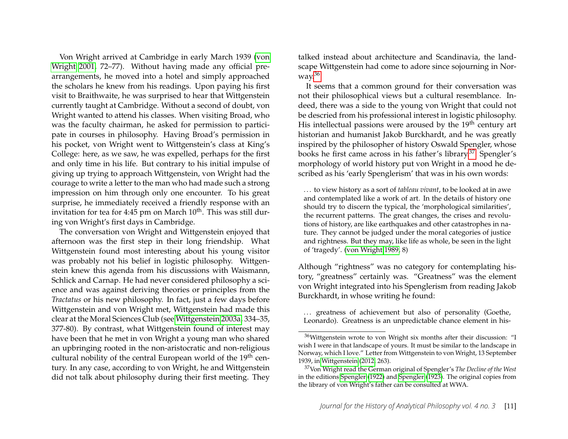Von Wright arrived at Cambridge in early March 1939 [\(von](#page-38-8) [Wright 2001,](#page-38-8) 72–77). Without having made any official prearrangements, he moved into a hotel and simply approached the scholars he knew from his readings. Upon paying his first visit to Braithwaite, he was surprised to hear that Wittgenstein currently taught at Cambridge. Without a second of doubt, von Wright wanted to attend his classes. When visiting Broad, who was the faculty chairman, he asked for permission to participate in courses in philosophy. Having Broad's permission in his pocket, von Wright went to Wittgenstein's class at King's College: here, as we saw, he was expelled, perhaps for the first and only time in his life. But contrary to his initial impulse of giving up trying to approach Wittgenstein, von Wright had the courage to write a letter to the man who had made such a strong impression on him through only one encounter. To his great surprise, he immediately received a friendly response with an invitation for tea for  $4:45$  pm on March  $10<sup>th</sup>$ . This was still during von Wright's first days in Cambridge.

The conversation von Wright and Wittgenstein enjoyed that afternoon was the first step in their long friendship. What Wittgenstein found most interesting about his young visitor was probably not his belief in logistic philosophy. Wittgenstein knew this agenda from his discussions with Waismann, Schlick and Carnap. He had never considered philosophy a science and was against deriving theories or principles from the *Tractatus* or his new philosophy. In fact, just a few days before Wittgenstein and von Wright met, Wittgenstein had made this clear at the Moral Sciences Club (see [Wittgenstein 2003a,](#page-39-1) 334–35, 377-80). By contrast, what Wittgenstein found of interest may have been that he met in von Wright a young man who shared an upbringing rooted in the non-aristocratic and non-religious cultural nobility of the central European world of the 19<sup>th</sup> century. In any case, according to von Wright, he and Wittgenstein did not talk about philosophy during their first meeting. They

talked instead about architecture and Scandinavia, the landscape Wittgenstein had come to adore since sojourning in Norway. $36$ 

It seems that a common ground for their conversation was not their philosophical views but a cultural resemblance. Indeed, there was a side to the young von Wright that could not be descried from his professional interest in logistic philosophy. His intellectual passions were aroused by the  $19<sup>th</sup>$  century art historian and humanist Jakob Burckhardt, and he was greatly inspired by the philosopher of history Oswald Spengler, whose books he first came across in his father's library.[37](#page-11-1) Spengler's morphology of world history put von Wright in a mood he described as his 'early Spenglerism' that was in his own words:

. . . to view history as a sort of *tableau vivant*, to be looked at in awe and contemplated like a work of art. In the details of history one should try to discern the typical, the 'morphological similarities', the recurrent patterns. The great changes, the crises and revolutions of history, are like earthquakes and other catastrophes in nature. They cannot be judged under the moral categories of justice and rightness. But they may, like life as whole, be seen in the light of 'tragedy'. [\(von Wright 1989,](#page-38-7) 8)

Although "rightness" was no category for contemplating history, "greatness" certainly was. "Greatness" was the element von Wright integrated into his Spenglerism from reading Jakob Burckhardt, in whose writing he found:

... greatness of achievement but also of personality (Goethe, Leonardo). Greatness is an unpredictable chance element in his-

<span id="page-11-0"></span><sup>36</sup>Wittgenstein wrote to von Wright six months after their discussion: "I wish I were in that landscape of yours. It must be similar to the landscape in Norway, which I love." Letter from Wittgenstein to von Wright, 13 September 1939, in [Wittgenstein](#page-39-6) [\(2012,](#page-39-6) 263).

<span id="page-11-1"></span><sup>37</sup>Von Wright read the German original of Spengler's *The Decline of the West* in the editions [Spengler](#page-37-13) [\(1922\)](#page-37-13) and [Spengler](#page-37-14) [\(1923\)](#page-37-14). The original copies from the library of von Wright's father can be consulted at WWA.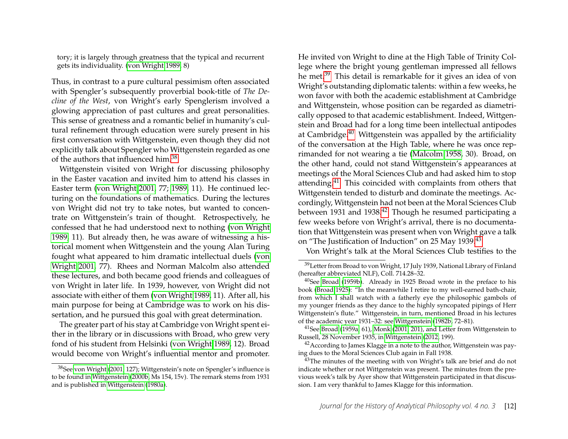tory; it is largely through greatness that the typical and recurrent gets its individuality. [\(von Wright 1989,](#page-38-7) 8)

Thus, in contrast to a pure cultural pessimism often associated with Spengler's subsequently proverbial book-title of *The Decline of the West*, von Wright's early Spenglerism involved a glowing appreciation of past cultures and great personalities. This sense of greatness and a romantic belief in humanity's cultural refinement through education were surely present in his first conversation with Wittgenstein, even though they did not explicitly talk about Spengler who Wittgenstein regarded as one of the authors that influenced him.[38](#page-12-0)

Wittgenstein visited von Wright for discussing philosophy in the Easter vacation and invited him to attend his classes in Easter term [\(von Wright 2001,](#page-38-8) 77; [1989,](#page-38-7) 11). He continued lecturing on the foundations of mathematics. During the lectures von Wright did not try to take notes, but wanted to concentrate on Wittgenstein's train of thought. Retrospectively, he confessed that he had understood next to nothing [\(von Wright](#page-38-7) [1989,](#page-38-7) 11). But already then, he was aware of witnessing a historical moment when Wittgenstein and the young Alan Turing fought what appeared to him dramatic intellectual duels [\(von](#page-38-8) [Wright 2001,](#page-38-8) 77). Rhees and Norman Malcolm also attended these lectures, and both became good friends and colleagues of von Wright in later life. In 1939, however, von Wright did not associate with either of them [\(von Wright 1989,](#page-38-7) 11). After all, his main purpose for being at Cambridge was to work on his dissertation, and he pursued this goal with great determination.

The greater part of his stay at Cambridge von Wright spent either in the library or in discussions with Broad, who grew very fond of his student from Helsinki [\(von Wright 1989,](#page-38-7) 12). Broad would become von Wright's influential mentor and promoter.

He invited von Wright to dine at the High Table of Trinity College where the bright young gentleman impressed all fellows he met.[39](#page-12-1) This detail is remarkable for it gives an idea of von Wright's outstanding diplomatic talents: within a few weeks, he won favor with both the academic establishment at Cambridge and Wittgenstein, whose position can be regarded as diametrically opposed to that academic establishment. Indeed, Wittgenstein and Broad had for a long time been intellectual antipodes at Cambridge.[40](#page-12-2) Wittgenstein was appalled by the artificiality of the conversation at the High Table, where he was once reprimanded for not wearing a tie [\(Malcolm 1958,](#page-37-10) 30). Broad, on the other hand, could not stand Wittgenstein's appearances at meetings of the Moral Sciences Club and had asked him to stop attending.[41](#page-12-3) This coincided with complaints from others that Wittgenstein tended to disturb and dominate the meetings. Accordingly, Wittgenstein had not been at the Moral Sciences Club between 1931 and 1938.<sup>[42](#page-12-4)</sup> Though he resumed participating a few weeks before von Wright's arrival, there is no documentation that Wittgenstein was present when von Wright gave a talk on "The Justification of Induction" on 25 May 1939.[43](#page-12-5)

Von Wright's talk at the Moral Sciences Club testifies to the

<span id="page-12-3"></span><sup>41</sup>See [Broad](#page-36-6) [\(1959a,](#page-36-6) 61), [Monk](#page-37-15) [\(2001,](#page-37-15) 201), and Letter from Wittgenstein to Russell, 28 November 1935, in [Wittgenstein](#page-39-6) [\(2012,](#page-39-6) 199).

<span id="page-12-4"></span> $42$ According to James Klagge in a note to the author, Wittgenstein was paying dues to the Moral Sciences Club again in Fall 1938.

<span id="page-12-0"></span><sup>38</sup>See [von Wright](#page-38-8) [\(2001,](#page-38-8) 127); Wittgenstein's note on Spengler's influence is to be found in [Wittgenstein](#page-39-3) [\(2000b,](#page-39-3) Ms 154, 15v). The remark stems from 1931 and is published in [Wittgenstein](#page-38-10) [\(1980a\)](#page-38-10).

<span id="page-12-1"></span><sup>39</sup>Letter from Broad to von Wright, 17 July 1939, National Library of Finland (hereafter abbreviated NLF), Coll. 714.28–32.

<span id="page-12-2"></span> $40$ See [Broad](#page-36-4) [\(1959b\)](#page-36-4). Already in 1925 Broad wrote in the preface to his book [\(Broad 1925\)](#page-36-5): "In the meanwhile I retire to my well-earned bath-chair, from which I shall watch with a fatherly eye the philosophic gambols of my younger friends as they dance to the highly syncopated pipings of Herr Wittgenstein's flute." Wittgenstein, in turn, mentioned Broad in his lectures of the academic year 1931–32: see [Wittgenstein](#page-39-9) [\(1982b,](#page-39-9) 72–81).

<span id="page-12-5"></span> $43$ The minutes of the meeting with von Wright's talk are brief and do not indicate whether or not Wittgenstein was present. The minutes from the previous week's talk by Ayer show that Wittgenstein participated in that discussion. I am very thankful to James Klagge for this information.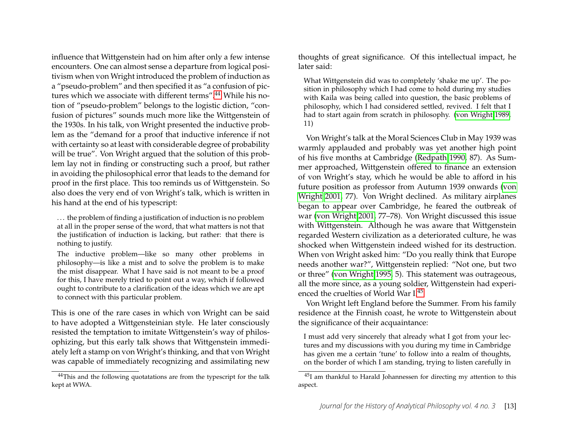influence that Wittgenstein had on him after only a few intense encounters. One can almost sense a departure from logical positivism when von Wright introduced the problem of induction as a "pseudo-problem" and then specified it as "a confusion of pic-tures which we associate with different terms".<sup>[44](#page-13-0)</sup> While his notion of "pseudo-problem" belongs to the logistic diction, "confusion of pictures" sounds much more like the Wittgenstein of the 1930s. In his talk, von Wright presented the inductive problem as the "demand for a proof that inductive inference if not with certainty so at least with considerable degree of probability will be true". Von Wright argued that the solution of this problem lay not in finding or constructing such a proof, but rather in avoiding the philosophical error that leads to the demand for proof in the first place. This too reminds us of Wittgenstein. So also does the very end of von Wright's talk, which is written in his hand at the end of his typescript:

... the problem of finding a justification of induction is no problem at all in the proper sense of the word, that what matters is not that the justification of induction is lacking, but rather: that there is nothing to justify.

The inductive problem—like so many other problems in philosophy—is like a mist and to solve the problem is to make the mist disappear. What I have said is not meant to be a proof for this, I have merely tried to point out a way, which if followed ought to contribute to a clarification of the ideas which we are apt to connect with this particular problem.

This is one of the rare cases in which von Wright can be said to have adopted a Wittgensteinian style. He later consciously resisted the temptation to imitate Wittgenstein's way of philosophizing, but this early talk shows that Wittgenstein immediately left a stamp on von Wright's thinking, and that von Wright was capable of immediately recognizing and assimilating new

thoughts of great significance. Of this intellectual impact, he later said:

What Wittgenstein did was to completely 'shake me up'. The position in philosophy which I had come to hold during my studies with Kaila was being called into question, the basic problems of philosophy, which I had considered settled, revived. I felt that I had to start again from scratch in philosophy. [\(von Wright 1989,](#page-38-7) 11)

Von Wright's talk at the Moral Sciences Club in May 1939 was warmly applauded and probably was yet another high point of his five months at Cambridge [\(Redpath 1990,](#page-37-11) 87). As Summer approached, Wittgenstein offered to finance an extension of von Wright's stay, which he would be able to afford in his future position as professor from Autumn 1939 onwards [\(von](#page-38-8) [Wright 2001,](#page-38-8) 77). Von Wright declined. As military airplanes began to appear over Cambridge, he feared the outbreak of war [\(von Wright 2001,](#page-38-8) 77–78). Von Wright discussed this issue with Wittgenstein. Although he was aware that Wittgenstein regarded Western civilization as a deteriorated culture, he was shocked when Wittgenstein indeed wished for its destruction. When von Wright asked him: "Do you really think that Europe needs another war?", Wittgenstein replied: "Not one, but two or three" [\(von Wright 1995,](#page-38-11) 5). This statement was outrageous, all the more since, as a young soldier, Wittgenstein had experienced the cruelties of World War I.[45](#page-13-1)

Von Wright left England before the Summer. From his family residence at the Finnish coast, he wrote to Wittgenstein about the significance of their acquaintance:

I must add very sincerely that already what I got from your lectures and my discussions with you during my time in Cambridge has given me a certain 'tune' to follow into a realm of thoughts, on the border of which I am standing, trying to listen carefully in

<span id="page-13-0"></span><sup>&</sup>lt;sup>44</sup>This and the following quotatations are from the typescript for the talk kept at WWA.

<span id="page-13-1"></span><sup>45</sup>I am thankful to Harald Johannessen for directing my attention to this aspect.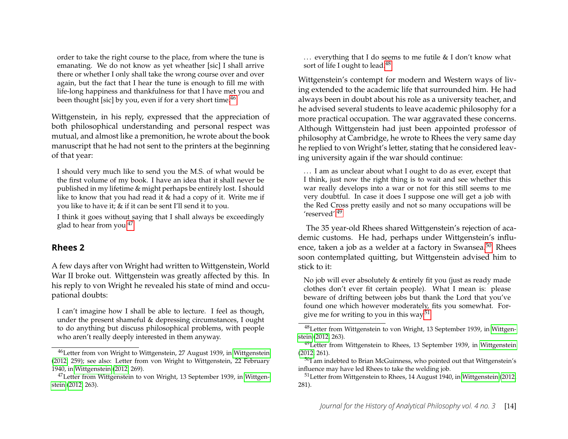order to take the right course to the place, from where the tune is emanating. We do not know as yet wheather [sic] I shall arrive there or whether I only shall take the wrong course over and over again, but the fact that I hear the tune is enough to fill me with life-long happiness and thankfulness for that I have met you and been thought [sic] by you, even if for a very short time.<sup>[46](#page-14-0)</sup>

Wittgenstein, in his reply, expressed that the appreciation of both philosophical understanding and personal respect was mutual, and almost like a premonition, he wrote about the book manuscript that he had not sent to the printers at the beginning of that year:

I should very much like to send you the M.S. of what would be the first volume of my book. I have an idea that it shall never be published in my lifetime & might perhaps be entirely lost. I should like to know that you had read it & had a copy of it. Write me if you like to have it; & if it can be sent I'll send it to you.

I think it goes without saying that I shall always be exceedingly glad to hear from you. $47$ 

#### **Rhees 2**

A few days after von Wright had written to Wittgenstein, World War II broke out. Wittgenstein was greatly affected by this. In his reply to von Wright he revealed his state of mind and occupational doubts:

I can't imagine how I shall be able to lecture. I feel as though, under the present shameful & depressing circumstances, I ought to do anything but discuss philosophical problems, with people who aren't really deeply interested in them anyway.

 $\ldots$  everything that I do seems to me futile & I don't know what sort of life I ought to lead.<sup>[48](#page-14-2)</sup>

Wittgenstein's contempt for modern and Western ways of living extended to the academic life that surrounded him. He had always been in doubt about his role as a university teacher, and he advised several students to leave academic philosophy for a more practical occupation. The war aggravated these concerns. Although Wittgenstein had just been appointed professor of philosophy at Cambridge, he wrote to Rhees the very same day he replied to von Wright's letter, stating that he considered leaving university again if the war should continue:

... I am as unclear about what I ought to do as ever, except that I think, just now the right thing is to wait and see whether this war really develops into a war or not for this still seems to me very doubtful. In case it does I suppose one will get a job with the Red Cross pretty easily and not so many occupations will be 'reserved'.[49](#page-14-3)

The 35 year-old Rhees shared Wittgenstein's rejection of academic customs. He had, perhaps under Wittgenstein's influ-ence, taken a job as a welder at a factory in Swansea.<sup>[50](#page-14-4)</sup> Rhees soon contemplated quitting, but Wittgenstein advised him to stick to it:

No job will ever absolutely & entirely fit you (just as ready made clothes don't ever fit certain people). What I mean is: please beware of drifting between jobs but thank the Lord that you've found one which however moderately, fits you somewhat. For-give me for writing to you in this way.<sup>[51](#page-14-5)</sup>

<span id="page-14-0"></span><sup>46</sup>Letter from von Wright to Wittgenstein, 27 August 1939, in [Wittgenstein](#page-39-6) [\(2012,](#page-39-6) 259); see also: Letter from von Wright to Wittgenstein, 22 February 1940, in [Wittgenstein](#page-39-6) [\(2012,](#page-39-6) 269).

<span id="page-14-1"></span><sup>47</sup>Letter from Wittgenstein to von Wright, 13 September 1939, in [Wittgen](#page-39-6)[stein](#page-39-6) [\(2012,](#page-39-6) 263).

<span id="page-14-2"></span><sup>48</sup>Letter from Wittgenstein to von Wright, 13 September 1939, in [Wittgen](#page-39-6)[stein](#page-39-6) [\(2012,](#page-39-6) 263).

<span id="page-14-3"></span><sup>&</sup>lt;sup>49</sup>Letter from [Wittgenstein](#page-39-6) to Rhees, 13 September 1939, in Wittgenstein [\(2012,](#page-39-6) 261).

<span id="page-14-4"></span><sup>&</sup>lt;sup>50</sup>I am indebted to Brian McGuinness, who pointed out that Wittgenstein's influence may have led Rhees to take the welding job.

<span id="page-14-5"></span><sup>&</sup>lt;sup>51</sup>Letter from [Wittgenstein](#page-39-6) to Rhees, 14 August 1940, in Wittgenstein [\(2012,](#page-39-6) 281).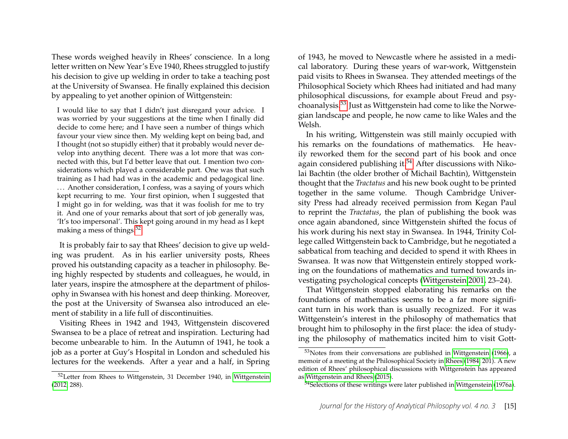These words weighed heavily in Rhees' conscience. In a long letter written on New Year's Eve 1940, Rhees struggled to justify his decision to give up welding in order to take a teaching post at the University of Swansea. He finally explained this decision by appealing to yet another opinion of Wittgenstein:

I would like to say that I didn't just disregard your advice. I was worried by your suggestions at the time when I finally did decide to come here; and I have seen a number of things which favour your view since then. My welding kept on being bad, and I thought (not so stupidly either) that it probably would never develop into anything decent. There was a lot more that was connected with this, but I'd better leave that out. I mention two considerations which played a considerable part. One was that such training as I had had was in the academic and pedagogical line. ... Another consideration, I confess, was a saying of yours which kept recurring to me. Your first opinion, when I suggested that I might go in for welding, was that it was foolish for me to try it. And one of your remarks about that sort of job generally was, 'It's too impersonal'. This kept going around in my head as I kept making a mess of things. $52$ 

It is probably fair to say that Rhees' decision to give up welding was prudent. As in his earlier university posts, Rhees proved his outstanding capacity as a teacher in philosophy. Being highly respected by students and colleagues, he would, in later years, inspire the atmosphere at the department of philosophy in Swansea with his honest and deep thinking. Moreover, the post at the University of Swansea also introduced an element of stability in a life full of discontinuities.

Visiting Rhees in 1942 and 1943, Wittgenstein discovered Swansea to be a place of retreat and inspiration. Lecturing had become unbearable to him. In the Autumn of 1941, he took a job as a porter at Guy's Hospital in London and scheduled his lectures for the weekends. After a year and a half, in Spring

of 1943, he moved to Newcastle where he assisted in a medical laboratory. During these years of war-work, Wittgenstein paid visits to Rhees in Swansea. They attended meetings of the Philosophical Society which Rhees had initiated and had many philosophical discussions, for example about Freud and psychoanalysis.[53](#page-15-1) Just as Wittgenstein had come to like the Norwegian landscape and people, he now came to like Wales and the Welsh.

In his writing, Wittgenstein was still mainly occupied with his remarks on the foundations of mathematics. He heavily reworked them for the second part of his book and once again considered publishing it.<sup>[54](#page-15-2)</sup> After discussions with Nikolai Bachtin (the older brother of Michail Bachtin), Wittgenstein thought that the *Tractatus* and his new book ought to be printed together in the same volume. Though Cambridge University Press had already received permission from Kegan Paul to reprint the *Tractatus*, the plan of publishing the book was once again abandoned, since Wittgenstein shifted the focus of his work during his next stay in Swansea. In 1944, Trinity College called Wittgenstein back to Cambridge, but he negotiated a sabbatical from teaching and decided to spend it with Rhees in Swansea. It was now that Wittgenstein entirely stopped working on the foundations of mathematics and turned towards investigating psychological concepts [\(Wittgenstein 2001,](#page-39-4) 23–24).

That Wittgenstein stopped elaborating his remarks on the foundations of mathematics seems to be a far more significant turn in his work than is usually recognized. For it was Wittgenstein's interest in the philosophy of mathematics that brought him to philosophy in the first place: the idea of studying the philosophy of mathematics incited him to visit Gott-

<span id="page-15-0"></span><sup>&</sup>lt;sup>52</sup>Letter from Rhees to [Wittgenstein](#page-39-6), 31 December 1940, in Wittgenstein [\(2012,](#page-39-6) 288).

<span id="page-15-1"></span> $53$ Notes from their conversations are published in [Wittgenstein](#page-38-4) [\(1966\)](#page-38-4), a memoir of a meeting at the Philosophical Society in [Rhees](#page-37-6) [\(1984,](#page-37-6) 201). A new edition of Rhees' philosophical discussions with Wittgenstein has appeared as [Wittgenstein and Rhees](#page-39-10) [\(2015\)](#page-39-10).

<span id="page-15-2"></span><sup>&</sup>lt;sup>54</sup>Selections of these writings were later published in [Wittgenstein](#page-38-12) [\(1976a\)](#page-38-12).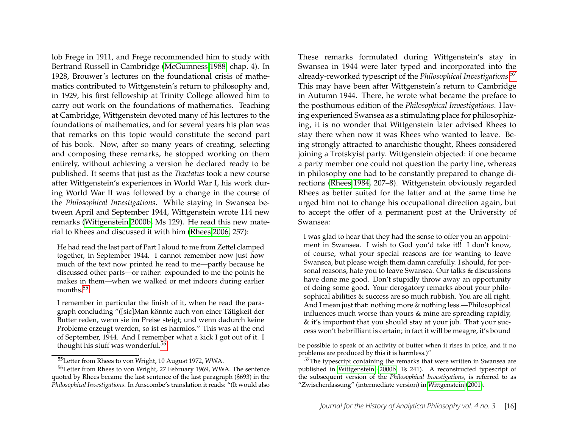lob Frege in 1911, and Frege recommended him to study with Bertrand Russell in Cambridge [\(McGuinness 1988,](#page-37-16) chap. 4). In 1928, Brouwer's lectures on the foundational crisis of mathematics contributed to Wittgenstein's return to philosophy and, in 1929, his first fellowship at Trinity College allowed him to carry out work on the foundations of mathematics. Teaching at Cambridge, Wittgenstein devoted many of his lectures to the foundations of mathematics, and for several years his plan was that remarks on this topic would constitute the second part of his book. Now, after so many years of creating, selecting and composing these remarks, he stopped working on them entirely, without achieving a version he declared ready to be published. It seems that just as the *Tractatus* took a new course after Wittgenstein's experiences in World War I, his work during World War II was followed by a change in the course of the *Philosophical Investigations*. While staying in Swansea between April and September 1944, Wittgenstein wrote 114 new remarks [\(Wittgenstein 2000b,](#page-39-3) Ms 129). He read this new material to Rhees and discussed it with him [\(Rhees 2006,](#page-37-5) 257):

He had read the last part of Part I aloud to me from Zettel clamped together, in September 1944. I cannot remember now just how much of the text now printed he read to me—partly because he discussed other parts—or rather: expounded to me the points he makes in them—when we walked or met indoors during earlier months.<sup>[55](#page-16-0)</sup>

I remember in particular the finish of it, when he read the paragraph concluding "([sic]Man könnte auch von einer Tätigkeit der Butter reden, wenn sie im Preise steigt; und wenn dadurch keine Probleme erzeugt werden, so ist es harmlos." This was at the end of September, 1944. And I remember what a kick I got out of it. I thought his stuff was wonderful.<sup>[56](#page-16-1)</sup>

These remarks formulated during Wittgenstein's stay in Swansea in 1944 were later typed and incorporated into the already-reworked typescript of the *Philosophical Investigations*. [57](#page-16-2) This may have been after Wittgenstein's return to Cambridge in Autumn 1944. There, he wrote what became the preface to the posthumous edition of the *Philosophical Investigations*. Having experienced Swansea as a stimulating place for philosophizing, it is no wonder that Wittgenstein later advised Rhees to stay there when now it was Rhees who wanted to leave. Being strongly attracted to anarchistic thought, Rhees considered joining a Trotskyist party. Wittgenstein objected: if one became a party member one could not question the party line, whereas in philosophy one had to be constantly prepared to change directions [\(Rhees 1984,](#page-37-6) 207–8). Wittgenstein obviously regarded Rhees as better suited for the latter and at the same time he urged him not to change his occupational direction again, but to accept the offer of a permanent post at the University of Swansea:

I was glad to hear that they had the sense to offer you an appointment in Swansea. I wish to God you'd take it!! I don't know, of course, what your special reasons are for wanting to leave Swansea, but please weigh them damn carefully. I should, for personal reasons, hate you to leave Swansea. Our talks & discussions have done me good. Don't stupidly throw away an opportunity of doing some good. Your derogatory remarks about your philosophical abilities & success are so much rubbish. You are all right. And I mean just that: nothing more & nothing less.—Philosophical influences much worse than yours & mine are spreading rapidly, & it's important that you should stay at your job. That your success won't be brilliant is certain; in fact it will be meagre, it's bound

<span id="page-16-1"></span><span id="page-16-0"></span><sup>55</sup>Letter from Rhees to von Wright, 10 August 1972, WWA.

<sup>56</sup>Letter from Rhees to von Wright, 27 February 1969, WWA. The sentence quoted by Rhees became the last sentence of the last paragraph (§693) in the *Philosophical Investigations*. In Anscombe's translation it reads: "(It would also

be possible to speak of an activity of butter when it rises in price, and if no problems are produced by this it is harmless.)"

<span id="page-16-2"></span><sup>&</sup>lt;sup>57</sup>The typescript containing the remarks that were written in Swansea are published in [Wittgenstein](#page-39-3) [\(2000b,](#page-39-3) Ts 241). A reconstructed typescript of the subsequent version of the *Philosophical Investigations*, is referred to as "Zwischenfassung" (intermediate version) in [Wittgenstein](#page-39-4) [\(2001\)](#page-39-4).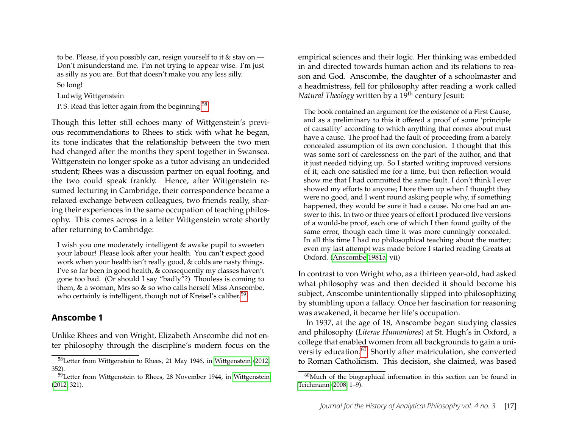to be. Please, if you possibly can, resign yourself to it & stay on.— Don't misunderstand me. I'm not trying to appear wise. I'm just as silly as you are. But that doesn't make you any less silly.

So long!

Ludwig Wittgenstein

P. S. Read this letter again from the beginning.<sup>[58](#page-17-0)</sup>

Though this letter still echoes many of Wittgenstein's previous recommendations to Rhees to stick with what he began, its tone indicates that the relationship between the two men had changed after the months they spent together in Swansea. Wittgenstein no longer spoke as a tutor advising an undecided student; Rhees was a discussion partner on equal footing, and the two could speak frankly. Hence, after Wittgenstein resumed lecturing in Cambridge, their correspondence became a relaxed exchange between colleagues, two friends really, sharing their experiences in the same occupation of teaching philosophy. This comes across in a letter Wittgenstein wrote shortly after returning to Cambridge:

I wish you one moderately intelligent & awake pupil to sweeten your labour! Please look after your health. You can't expect good work when your health isn't really good, & colds are nasty things. I've so far been in good health, & consequently my classes haven't gone too bad. (Or should I say "badly"?) Thouless is coming to them, & a woman, Mrs so & so who calls herself Miss Anscombe, who certainly is intelligent, though not of Kreisel's caliber.<sup>[59](#page-17-1)</sup>

## **Anscombe 1**

Unlike Rhees and von Wright, Elizabeth Anscombe did not enter philosophy through the discipline's modern focus on the empirical sciences and their logic. Her thinking was embedded in and directed towards human action and its relations to reason and God. Anscombe, the daughter of a schoolmaster and a headmistress, fell for philosophy after reading a work called *Natural Theology* written by a 19th century Jesuit:

The book contained an argument for the existence of a First Cause, and as a preliminary to this it offered a proof of some 'principle of causality' according to which anything that comes about must have a cause. The proof had the fault of proceeding from a barely concealed assumption of its own conclusion. I thought that this was some sort of carelessness on the part of the author, and that it just needed tidying up. So I started writing improved versions of it; each one satisfied me for a time, but then reflection would show me that I had committed the same fault. I don't think I ever showed my efforts to anyone; I tore them up when I thought they were no good, and I went round asking people why, if something happened, they would be sure it had a cause. No one had an answer to this. In two or three years of effort I produced five versions of a would-be proof, each one of which I then found guilty of the same error, though each time it was more cunningly concealed. In all this time I had no philosophical teaching about the matter; even my last attempt was made before I started reading Greats at Oxford. [\(Anscombe 1981a,](#page-36-7) vii)

In contrast to von Wright who, as a thirteen year-old, had asked what philosophy was and then decided it should become his subject, Anscombe unintentionally slipped into philosophizing by stumbling upon a fallacy. Once her fascination for reasoning was awakened, it became her life's occupation.

In 1937, at the age of 18, Anscombe began studying classics and philosophy (*Literae Humaniores*) at St. Hugh's in Oxford, a college that enabled women from all backgrounds to gain a uni-versity education.<sup>[60](#page-17-2)</sup> Shortly after matriculation, she converted to Roman Catholicism. This decision, she claimed, was based

<span id="page-17-0"></span><sup>58</sup>Letter from Wittgenstein to Rhees, 21 May 1946, in [Wittgenstein](#page-39-6) [\(2012,](#page-39-6) 352).

<span id="page-17-1"></span><sup>59</sup>Letter from Wittgenstein to Rhees, 28 November 1944, in [Wittgenstein](#page-39-6) [\(2012,](#page-39-6) 321).

<span id="page-17-2"></span> $60$ Much of the biographical information in this section can be found in [Teichmann](#page-37-17) [\(2008,](#page-37-17) 1–9).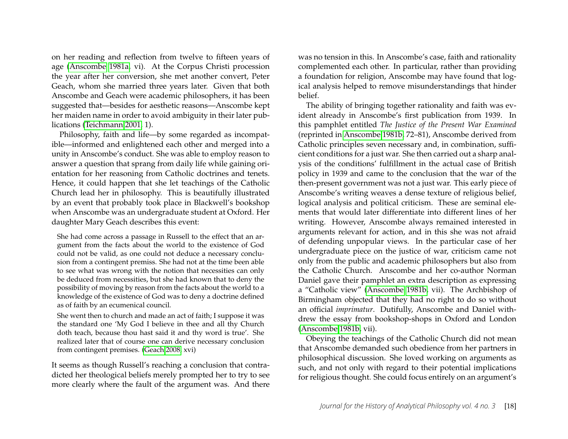on her reading and reflection from twelve to fifteen years of age [\(Anscombe 1981a,](#page-36-7) vi). At the Corpus Christi procession the year after her conversion, she met another convert, Peter Geach, whom she married three years later. Given that both Anscombe and Geach were academic philosophers, it has been suggested that—besides for aesthetic reasons—Anscombe kept her maiden name in order to avoid ambiguity in their later publications [\(Teichmann 2001,](#page-37-18) 1).

Philosophy, faith and life—by some regarded as incompatible—informed and enlightened each other and merged into a unity in Anscombe's conduct. She was able to employ reason to answer a question that sprang from daily life while gaining orientation for her reasoning from Catholic doctrines and tenets. Hence, it could happen that she let teachings of the Catholic Church lead her in philosophy. This is beautifully illustrated by an event that probably took place in Blackwell's bookshop when Anscombe was an undergraduate student at Oxford. Her daughter Mary Geach describes this event:

She had come across a passage in Russell to the effect that an argument from the facts about the world to the existence of God could not be valid, as one could not deduce a necessary conclusion from a contingent premiss. She had not at the time been able to see what was wrong with the notion that necessities can only be deduced from necessities, but she had known that to deny the possibility of moving by reason from the facts about the world to a knowledge of the existence of God was to deny a doctrine defined as of faith by an ecumenical council.

She went then to church and made an act of faith; I suppose it was the standard one 'My God I believe in thee and all thy Church doth teach, because thou hast said it and thy word is true'. She realized later that of course one can derive necessary conclusion from contingent premises. [\(Geach 2008,](#page-36-8) xvi)

It seems as though Russell's reaching a conclusion that contradicted her theological beliefs merely prompted her to try to see more clearly where the fault of the argument was. And there

was no tension in this. In Anscombe's case, faith and rationality complemented each other. In particular, rather than providing a foundation for religion, Anscombe may have found that logical analysis helped to remove misunderstandings that hinder belief.

The ability of bringing together rationality and faith was evident already in Anscombe's first publication from 1939. In this pamphlet entitled *The Justice of the Present War Examined* (reprinted in [Anscombe 1981b,](#page-36-9) 72–81), Anscombe derived from Catholic principles seven necessary and, in combination, sufficient conditions for a just war. She then carried out a sharp analysis of the conditions' fulfillment in the actual case of British policy in 1939 and came to the conclusion that the war of the then-present government was not a just war. This early piece of Anscombe's writing weaves a dense texture of religious belief, logical analysis and political criticism. These are seminal elements that would later differentiate into different lines of her writing. However, Anscombe always remained interested in arguments relevant for action, and in this she was not afraid of defending unpopular views. In the particular case of her undergraduate piece on the justice of war, criticism came not only from the public and academic philosophers but also from the Catholic Church. Anscombe and her co-author Norman Daniel gave their pamphlet an extra description as expressing a "Catholic view" [\(Anscombe 1981b,](#page-36-9) vii). The Archbishop of Birmingham objected that they had no right to do so without an official *imprimatur*. Dutifully, Anscombe and Daniel withdrew the essay from bookshop-shops in Oxford and London [\(Anscombe 1981b,](#page-36-9) vii).

Obeying the teachings of the Catholic Church did not mean that Anscombe demanded such obedience from her partners in philosophical discussion. She loved working on arguments as such, and not only with regard to their potential implications for religious thought. She could focus entirely on an argument's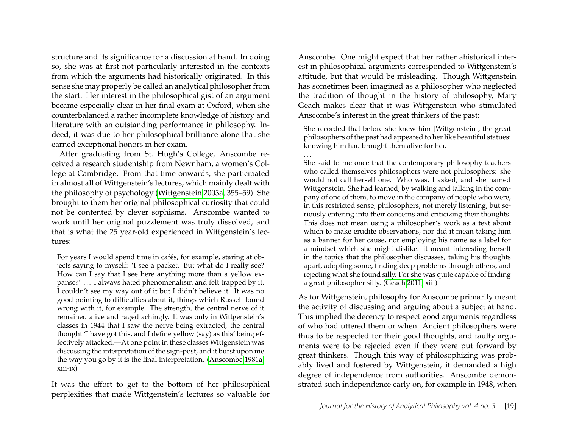structure and its significance for a discussion at hand. In doing so, she was at first not particularly interested in the contexts from which the arguments had historically originated. In this sense she may properly be called an analytical philosopher from the start. Her interest in the philosophical gist of an argument became especially clear in her final exam at Oxford, when she counterbalanced a rather incomplete knowledge of history and literature with an outstanding performance in philosophy. Indeed, it was due to her philosophical brilliance alone that she earned exceptional honors in her exam.

After graduating from St. Hugh's College, Anscombe received a research studentship from Newnham, a women's College at Cambridge. From that time onwards, she participated in almost all of Wittgenstein's lectures, which mainly dealt with the philosophy of psychology [\(Wittgenstein 2003a,](#page-39-1) 355–59). She brought to them her original philosophical curiosity that could not be contented by clever sophisms. Anscombe wanted to work until her original puzzlement was truly dissolved, and that is what the 25 year-old experienced in Wittgenstein's lectures:

For years I would spend time in cafés, for example, staring at objects saying to myself: 'I see a packet. But what do I really see? How can I say that I see here anything more than a yellow expanse?' . . . I always hated phenomenalism and felt trapped by it. I couldn't see my way out of it but I didn't believe it. It was no good pointing to difficulties about it, things which Russell found wrong with it, for example. The strength, the central nerve of it remained alive and raged achingly. It was only in Wittgenstein's classes in 1944 that I saw the nerve being extracted, the central thought 'I have got this, and I define yellow (say) as this' being effectively attacked.—At one point in these classes Wittgenstein was discussing the interpretation of the sign-post, and it burst upon me the way you go by it is the final interpretation. [\(Anscombe 1981a,](#page-36-7) xiii-ix)

It was the effort to get to the bottom of her philosophical perplexities that made Wittgenstein's lectures so valuable for Anscombe. One might expect that her rather ahistorical interest in philosophical arguments corresponded to Wittgenstein's attitude, but that would be misleading. Though Wittgenstein has sometimes been imagined as a philosopher who neglected the tradition of thought in the history of philosophy, Mary Geach makes clear that it was Wittgenstein who stimulated Anscombe's interest in the great thinkers of the past:

She recorded that before she knew him [Wittgenstein], the great philosophers of the past had appeared to her like beautiful statues: knowing him had brought them alive for her.

. . . She said to me once that the contemporary philosophy teachers who called themselves philosophers were not philosophers: she would not call herself one. Who was, I asked, and she named Wittgenstein. She had learned, by walking and talking in the company of one of them, to move in the company of people who were, in this restricted sense, philosophers; not merely listening, but seriously entering into their concerns and criticizing their thoughts. This does not mean using a philosopher's work as a text about which to make erudite observations, nor did it mean taking him as a banner for her cause, nor employing his name as a label for a mindset which she might dislike: it meant interesting herself in the topics that the philosopher discusses, taking his thoughts apart, adopting some, finding deep problems through others, and rejecting what she found silly. For she was quite capable of finding a great philosopher silly. [\(Geach 2011,](#page-36-10) xiii)

As for Wittgenstein, philosophy for Anscombe primarily meant the activity of discussing and arguing about a subject at hand. This implied the decency to respect good arguments regardless of who had uttered them or when. Ancient philosophers were thus to be respected for their good thoughts, and faulty arguments were to be rejected even if they were put forward by great thinkers. Though this way of philosophizing was probably lived and fostered by Wittgenstein, it demanded a high degree of independence from authorities. Anscombe demonstrated such independence early on, for example in 1948, when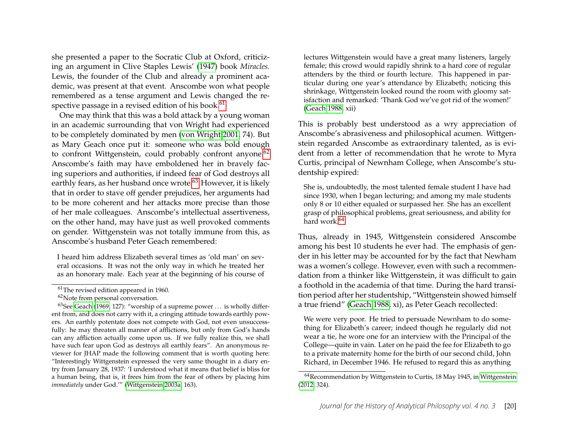she presented a paper to the Socratic Club at Oxford, criticizing an argument in Clive Staples Lewis' [\(1947\)](#page-37-19) book *Miracles.* Lewis, the founder of the Club and already a prominent academic, was present at that event. Anscombe won what people remembered as a tense argument and Lewis changed the re-spective passage in a revised edition of his book.<sup>[61](#page-20-0)</sup>

One may think that this was a bold attack by a young woman in an academic surrounding that von Wright had experienced to be completely dominated by men [\(von Wright 2001,](#page-38-8) 74). But as Mary Geach once put it: someone who was bold enough to confront Wittgenstein, could probably confront anyone.<sup>[62](#page-20-1)</sup> Anscombe's faith may have emboldened her in bravely facing superiors and authorities, if indeed fear of God destroys all earthly fears, as her husband once wrote.<sup>[63](#page-20-2)</sup> However, it is likely that in order to stave off gender prejudices, her arguments had to be more coherent and her attacks more precise than those of her male colleagues. Anscombe's intellectual assertiveness, on the other hand, may have just as well provoked comments on gender. Wittgenstein was not totally immune from this, as Anscombe's husband Peter Geach remembered:

I heard him address Elizabeth several times as 'old man' on several occasions. It was not the only way in which he treated her as an honorary male. Each year at the beginning of his course of

<span id="page-20-0"></span><sup>61</sup>The revised edition appeared in 1960.

<span id="page-20-2"></span><span id="page-20-1"></span><sup>62</sup>Note from personal conversation.

<sup>63</sup>See [Geach](#page-36-11) [\(1969,](#page-36-11) 127): "worship of a supreme power ... is wholly different from, and does not carry with it, a cringing attitude towards earthly powers. An earthly potentate does not compete with God, not even unsuccessfully: he may threaten all manner of afflictions, but only from God's hands can any affliction actually come upon us. If we fully realize this, we shall have such fear upon God as destroys all earthly fears". An anonymous reviewer for JHAP made the following comment that is worth quoting here: "Interestingly Wittgenstein expressed the very same thought in a diary entry from January 28, 1937: 'I understood what it means that belief is bliss for a human being, that is, it frees him from the fear of others by placing him *immediately* under God.'" [\(Wittgenstein 2003a,](#page-39-1) 163).

lectures Wittgenstein would have a great many listeners, largely female; this crowd would rapidly shrink to a hard core of regular attenders by the third or fourth lecture. This happened in particular during one year's attendance by Elizabeth; noticing this shrinkage, Wittgenstein looked round the room with gloomy satisfaction and remarked: 'Thank God we've got rid of the women!' [\(Geach 1988,](#page-36-12) xii)

This is probably best understood as a wry appreciation of Anscombe's abrasiveness and philosophical acumen. Wittgenstein regarded Anscombe as extraordinary talented, as is evident from a letter of recommendation that he wrote to Myra Curtis, principal of Newnham College, when Anscombe's studentship expired:

She is, undoubtedly, the most talented female student I have had since 1930, when I began lecturing; and among my male students only 8 or 10 either equaled or surpassed her. She has an excellent grasp of philosophical problems, great seriousness, and ability for hard work.<sup>[64](#page-20-3)</sup>

Thus, already in 1945, Wittgenstein considered Anscombe among his best 10 students he ever had. The emphasis of gender in his letter may be accounted for by the fact that Newham was a women's college. However, even with such a recommendation from a thinker like Wittgenstein, it was difficult to gain a foothold in the academia of that time. During the hard transition period after her studentship, "Wittgenstein showed himself a true friend" [\(Geach 1988,](#page-36-12) xi), as Peter Geach recollected:

We were very poor. He tried to persuade Newnham to do something for Elizabeth's career; indeed though he regularly did not wear a tie, he wore one for an interview with the Principal of the College—quite in vain. Later on he paid the fee for Elizabeth to go to a private maternity home for the birth of our second child, John Richard, in December 1946. He refused to regard this as anything

<span id="page-20-3"></span><sup>&</sup>lt;sup>64</sup>Recommendation by [Wittgenstein](#page-39-6) to Curtis, 18 May 1945, in Wittgenstein [\(2012,](#page-39-6) 324).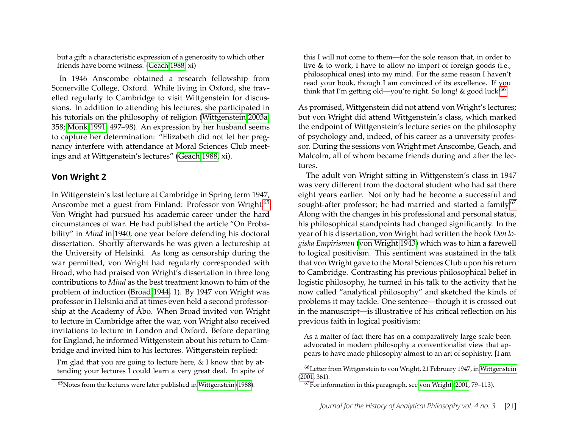but a gift: a characteristic expression of a generosity to which other friends have borne witness. [\(Geach 1988,](#page-36-12) xi)

In 1946 Anscombe obtained a research fellowship from Somerville College, Oxford. While living in Oxford, she travelled regularly to Cambridge to visit Wittgenstein for discussions. In addition to attending his lectures, she participated in his tutorials on the philosophy of religion [\(Wittgenstein 2003a,](#page-39-1) 358; [Monk 1991,](#page-37-4) 497–98). An expression by her husband seems to capture her determination: "Elizabeth did not let her pregnancy interfere with attendance at Moral Sciences Club meetings and at Wittgenstein's lectures" [\(Geach 1988,](#page-36-12) xi).

#### **Von Wright 2**

In Wittgenstein's last lecture at Cambridge in Spring term 1947, Anscombe met a guest from Finland: Professor von Wright.[65](#page-21-0) Von Wright had pursued his academic career under the hard circumstances of war. He had published the article "On Probability" in *Mind* in [1940,](#page-38-13) one year before defending his doctoral dissertation. Shortly afterwards he was given a lectureship at the University of Helsinki. As long as censorship during the war permitted, von Wright had regularly corresponded with Broad, who had praised von Wright's dissertation in three long contributions to *Mind* as the best treatment known to him of the problem of induction [\(Broad 1944,](#page-36-13) 1). By 1947 von Wright was professor in Helsinki and at times even held a second professorship at the Academy of Åbo. When Broad invited von Wright to lecture in Cambridge after the war, von Wright also received invitations to lecture in London and Oxford. Before departing for England, he informed Wittgenstein about his return to Cambridge and invited him to his lectures. Wittgenstein replied:

I'm glad that you are going to lecture here, & I know that by attending your lectures I could learn a very great deal. In spite of this I will not come to them—for the sole reason that, in order to live & to work, I have to allow no import of foreign goods (i.e., philosophical ones) into my mind. For the same reason I haven't read your book, though I am convinced of its excellence. If you think that I'm getting old—you're right. So long!  $&$  good luck!<sup>[66](#page-21-1)</sup>

As promised, Wittgenstein did not attend von Wright's lectures; but von Wright did attend Wittgenstein's class, which marked the endpoint of Wittgenstein's lecture series on the philosophy of psychology and, indeed, of his career as a university professor. During the sessions von Wright met Anscombe, Geach, and Malcolm, all of whom became friends during and after the lectures.

The adult von Wright sitting in Wittgenstein's class in 1947 was very different from the doctoral student who had sat there eight years earlier. Not only had he become a successful and sought-after professor; he had married and started a family.<sup>[67](#page-21-2)</sup> Along with the changes in his professional and personal status, his philosophical standpoints had changed significantly. In the year of his dissertation, von Wright had written the book *Den logiska Empirismen* [\(von Wright 1943\)](#page-38-14) which was to him a farewell to logical positivism. This sentiment was sustained in the talk that von Wright gave to the Moral Sciences Club upon his return to Cambridge. Contrasting his previous philosophical belief in logistic philosophy, he turned in his talk to the activity that he now called "analytical philosophy" and sketched the kinds of problems it may tackle. One sentence—though it is crossed out in the manuscript—is illustrative of his critical reflection on his previous faith in logical positivism:

As a matter of fact there has on a comparatively large scale been advocated in modern philosophy a conventionalist view that appears to have made philosophy almost to an art of sophistry. [I am

<span id="page-21-0"></span> $65$ Notes from the lectures were later published in [Wittgenstein](#page-39-11) [\(1988\)](#page-39-11).

<span id="page-21-1"></span><sup>66</sup>Letter from Wittgenstein to von Wright, 21 February 1947, in [Wittgenstein](#page-39-4) [\(2001,](#page-39-4) 361).

<span id="page-21-2"></span> $^{67}$ For information in this paragraph, see [von Wright](#page-38-8) [\(2001,](#page-38-8) 79–113).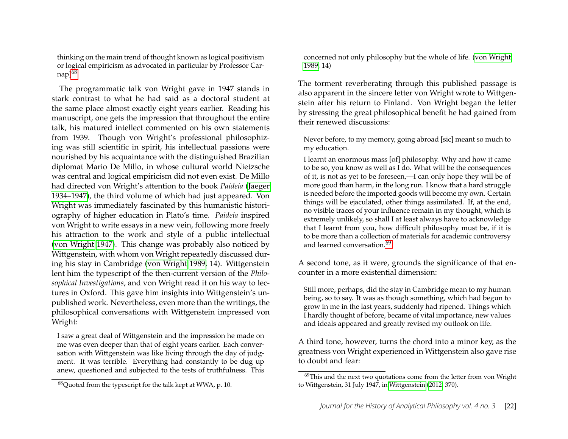thinking on the main trend of thought known as logical positivism or logical empiricism as advocated in particular by Professor Carnap $]^{68}$  $]^{68}$  $]^{68}$ 

The programmatic talk von Wright gave in 1947 stands in stark contrast to what he had said as a doctoral student at the same place almost exactly eight years earlier. Reading his manuscript, one gets the impression that throughout the entire talk, his matured intellect commented on his own statements from 1939. Though von Wright's professional philosophizing was still scientific in spirit, his intellectual passions were nourished by his acquaintance with the distinguished Brazilian diplomat Mario De Millo, in whose cultural world Nietzsche was central and logical empiricism did not even exist. De Millo had directed von Wright's attention to the book *Paideia* [\(Jaeger](#page-36-14) [1934–1947\)](#page-36-14), the third volume of which had just appeared. Von Wright was immediately fascinated by this humanistic historiography of higher education in Plato's time. *Paideia* inspired von Wright to write essays in a new vein, following more freely his attraction to the work and style of a public intellectual [\(von Wright 1947\)](#page-38-15). This change was probably also noticed by Wittgenstein, with whom von Wright repeatedly discussed during his stay in Cambridge [\(von Wright 1989,](#page-38-7) 14). Wittgenstein lent him the typescript of the then-current version of the *Philosophical Investigations*, and von Wright read it on his way to lectures in Oxford. This gave him insights into Wittgenstein's unpublished work. Nevertheless, even more than the writings, the philosophical conversations with Wittgenstein impressed von Wright:

I saw a great deal of Wittgenstein and the impression he made on me was even deeper than that of eight years earlier. Each conversation with Wittgenstein was like living through the day of judgment. It was terrible. Everything had constantly to be dug up anew, questioned and subjected to the tests of truthfulness. This concerned not only philosophy but the whole of life. [\(von Wright](#page-38-7) [1989,](#page-38-7) 14)

The torment reverberating through this published passage is also apparent in the sincere letter von Wright wrote to Wittgenstein after his return to Finland. Von Wright began the letter by stressing the great philosophical benefit he had gained from their renewed discussions:

Never before, to my memory, going abroad [sic] meant so much to my education.

I learnt an enormous mass [of] philosophy. Why and how it came to be so, you know as well as I do. What will be the consequences of it, is not as yet to be foreseen,—I can only hope they will be of more good than harm, in the long run. I know that a hard struggle is needed before the imported goods will become my own. Certain things will be ejaculated, other things assimilated. If, at the end, no visible traces of your influence remain in my thought, which is extremely unlikely, so shall I at least always have to acknowledge that I learnt from you, how difficult philosophy must be, if it is to be more than a collection of materials for academic controversy and learned conversation.[69](#page-22-1)

A second tone, as it were, grounds the significance of that encounter in a more existential dimension:

Still more, perhaps, did the stay in Cambridge mean to my human being, so to say. It was as though something, which had begun to grow in me in the last years, suddenly had ripened. Things which I hardly thought of before, became of vital importance, new values and ideals appeared and greatly revised my outlook on life.

A third tone, however, turns the chord into a minor key, as the greatness von Wright experienced in Wittgenstein also gave rise to doubt and fear:

<span id="page-22-0"></span><sup>68</sup>Quoted from the typescript for the talk kept at WWA, p. 10.

<span id="page-22-1"></span> $69$ This and the next two quotations come from the letter from von Wright to Wittgenstein, 31 July 1947, in [Wittgenstein](#page-39-6) [\(2012,](#page-39-6) 370).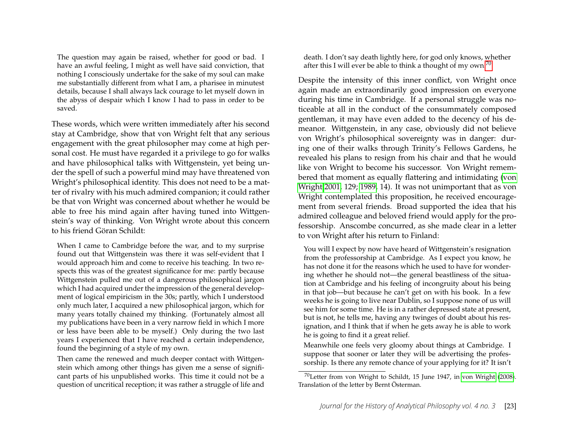The question may again be raised, whether for good or bad. I have an awful feeling, I might as well have said conviction, that nothing I consciously undertake for the sake of my soul can make me substantially different from what I am, a pharisee in minutest details, because I shall always lack courage to let myself down in the abyss of despair which I know I had to pass in order to be saved.

These words, which were written immediately after his second stay at Cambridge, show that von Wright felt that any serious engagement with the great philosopher may come at high personal cost. He must have regarded it a privilege to go for walks and have philosophical talks with Wittgenstein, yet being under the spell of such a powerful mind may have threatened von Wright's philosophical identity. This does not need to be a matter of rivalry with his much admired companion; it could rather be that von Wright was concerned about whether he would be able to free his mind again after having tuned into Wittgenstein's way of thinking. Von Wright wrote about this concern to his friend Göran Schildt:

When I came to Cambridge before the war, and to my surprise found out that Wittgenstein was there it was self-evident that I would approach him and come to receive his teaching. In two respects this was of the greatest significance for me: partly because Wittgenstein pulled me out of a dangerous philosophical jargon which I had acquired under the impression of the general development of logical empiricism in the 30s; partly, which I understood only much later, I acquired a new philosophical jargon, which for many years totally chained my thinking. (Fortunately almost all my publications have been in a very narrow field in which I more or less have been able to be myself.) Only during the two last years I experienced that I have reached a certain independence, found the beginning of a style of my own.

Then came the renewed and much deeper contact with Wittgenstein which among other things has given me a sense of significant parts of his unpublished works. This time it could not be a question of uncritical reception; it was rather a struggle of life and death. I don't say death lightly here, for god only knows, whether after this I will ever be able to think a thought of my own.<sup>[70](#page-23-0)</sup>

Despite the intensity of this inner conflict, von Wright once again made an extraordinarily good impression on everyone during his time in Cambridge. If a personal struggle was noticeable at all in the conduct of the consummately composed gentleman, it may have even added to the decency of his demeanor. Wittgenstein, in any case, obviously did not believe von Wright's philosophical sovereignty was in danger: during one of their walks through Trinity's Fellows Gardens, he revealed his plans to resign from his chair and that he would like von Wright to become his successor. Von Wright remembered that moment as equally flattering and intimidating [\(von](#page-38-8) [Wright 2001,](#page-38-8) 129; [1989,](#page-38-7) 14). It was not unimportant that as von Wright contemplated this proposition, he received encouragement from several friends. Broad supported the idea that his admired colleague and beloved friend would apply for the professorship. Anscombe concurred, as she made clear in a letter to von Wright after his return to Finland:

You will I expect by now have heard of Wittgenstein's resignation from the professorship at Cambridge. As I expect you know, he has not done it for the reasons which he used to have for wondering whether he should not—the general beastliness of the situation at Cambridge and his feeling of incongruity about his being in that job—but because he can't get on with his book. In a few weeks he is going to live near Dublin, so I suppose none of us will see him for some time. He is in a rather depressed state at present, but is not, he tells me, having any twinges of doubt about his resignation, and I think that if when he gets away he is able to work he is going to find it a great relief.

Meanwhile one feels very gloomy about things at Cambridge. I suppose that sooner or later they will be advertising the professorship. Is there any remote chance of your applying for it? It isn't

<span id="page-23-0"></span><sup>70</sup>Letter from von Wright to Schildt, 15 June 1947, in [von Wright](#page-38-16) [\(2008\)](#page-38-16). Translation of the letter by Bernt Österman.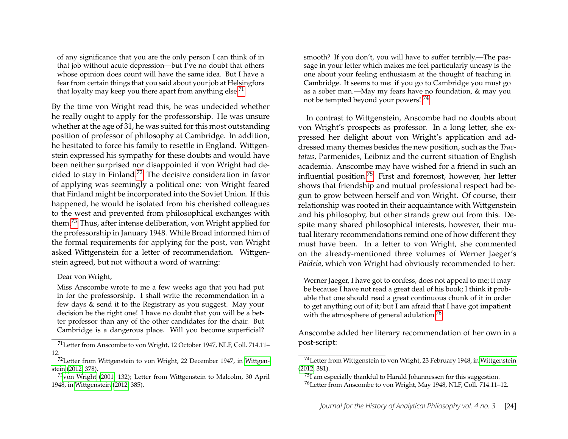of any significance that you are the only person I can think of in that job without acute depression—but I've no doubt that others whose opinion does count will have the same idea. But I have a fear from certain things that you said about your job at Helsingfors that loyalty may keep you there apart from anything else.<sup>[71](#page-24-0)</sup>

By the time von Wright read this, he was undecided whether he really ought to apply for the professorship. He was unsure whether at the age of 31, he was suited for this most outstanding position of professor of philosophy at Cambridge. In addition, he hesitated to force his family to resettle in England. Wittgenstein expressed his sympathy for these doubts and would have been neither surprised nor disappointed if von Wright had decided to stay in Finland.[72](#page-24-1) The decisive consideration in favor of applying was seemingly a political one: von Wright feared that Finland might be incorporated into the Soviet Union. If this happened, he would be isolated from his cherished colleagues to the west and prevented from philosophical exchanges with them.[73](#page-24-2) Thus, after intense deliberation, von Wright applied for the professorship in January 1948. While Broad informed him of the formal requirements for applying for the post, von Wright asked Wittgenstein for a letter of recommendation. Wittgenstein agreed, but not without a word of warning:

Dear von Wright,

Miss Anscombe wrote to me a few weeks ago that you had put in for the professorship. I shall write the recommendation in a few days & send it to the Registrary as you suggest. May your decision be the right one! I have no doubt that you will be a better professor than any of the other candidates for the chair. But Cambridge is a dangerous place. Will you become superficial? smooth? If you don't, you will have to suffer terribly.—The passage in your letter which makes me feel particularly uneasy is the one about your feeling enthusiasm at the thought of teaching in Cambridge. It seems to me: if you go to Cambridge you must go as a sober man.—May my fears have no foundation, & may you not be tempted beyond your powers!<sup>[74](#page-24-3)</sup>

In contrast to Wittgenstein, Anscombe had no doubts about von Wright's prospects as professor. In a long letter, she expressed her delight about von Wright's application and addressed many themes besides the new position, such as the *Tractatus*, Parmenides, Leibniz and the current situation of English academia. Anscombe may have wished for a friend in such an influential position.[75](#page-24-4) First and foremost, however, her letter shows that friendship and mutual professional respect had begun to grow between herself and von Wright. Of course, their relationship was rooted in their acquaintance with Wittgenstein and his philosophy, but other strands grew out from this. Despite many shared philosophical interests, however, their mutual literary recommendations remind one of how different they must have been. In a letter to von Wright, she commented on the already-mentioned three volumes of Werner Jaeger's *Paideia*, which von Wright had obviously recommended to her:

Werner Jaeger, I have got to confess, does not appeal to me; it may be because I have not read a great deal of his book; I think it probable that one should read a great continuous chunk of it in order to get anything out of it; but I am afraid that I have got impatient with the atmosphere of general adulation.<sup>[76](#page-24-5)</sup>

Anscombe added her literary recommendation of her own in a post-script:

<span id="page-24-0"></span><sup>71</sup>Letter from Anscombe to von Wright, 12 October 1947, NLF, Coll. 714.11– 12.

<span id="page-24-1"></span><sup>72</sup>Letter from Wittgenstein to von Wright, 22 December 1947, in [Wittgen](#page-39-6)[stein](#page-39-6) [\(2012,](#page-39-6) 378).

<span id="page-24-2"></span> $^{73}$ [von Wright](#page-38-8) [\(2001,](#page-38-8) 132); Letter from Wittgenstein to Malcolm, 30 April 1948, in [Wittgenstein](#page-39-6) [\(2012,](#page-39-6) 385).

<span id="page-24-3"></span><sup>74</sup>Letter from Wittgenstein to von Wright, 23 February 1948, in [Wittgenstein](#page-39-6) [\(2012,](#page-39-6) 381).

<span id="page-24-4"></span> $^{75}$ I am especially thankful to Harald Johannessen for this suggestion.

<span id="page-24-5"></span><sup>&</sup>lt;sup>76</sup>Letter from Anscombe to von Wright, May 1948, NLF, Coll. 714.11–12.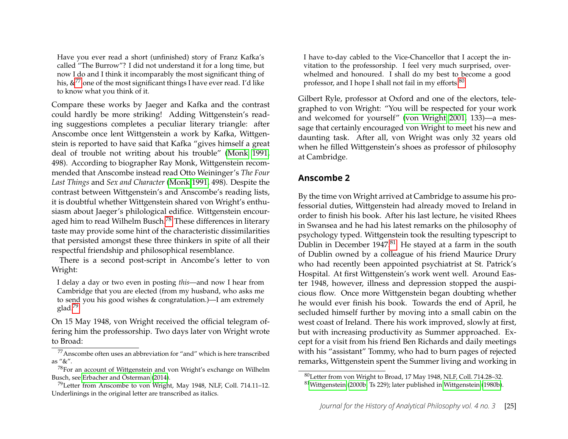Have you ever read a short (unfinished) story of Franz Kafka's called "The Burrow"? I did not understand it for a long time, but now I do and I think it incomparably the most significant thing of his,  $\&^{77}$  $\&^{77}$  $\&^{77}$  one of the most significant things I have ever read. I'd like to know what you think of it.

Compare these works by Jaeger and Kafka and the contrast could hardly be more striking! Adding Wittgenstein's reading suggestions completes a peculiar literary triangle: after Anscombe once lent Wittgenstein a work by Kafka, Wittgenstein is reported to have said that Kafka "gives himself a great deal of trouble not writing about his trouble" [\(Monk 1991,](#page-37-4) 498). According to biographer Ray Monk, Wittgenstein recommended that Anscombe instead read Otto Weininger's *The Four Last Things* and *Sex and Character* [\(Monk 1991,](#page-37-4) 498). Despite the contrast between Wittgenstein's and Anscombe's reading lists, it is doubtful whether Wittgenstein shared von Wright's enthusiasm about Jaeger's philological edifice. Wittgenstein encour-aged him to read Wilhelm Busch.<sup>[78](#page-25-1)</sup> These differences in literary taste may provide some hint of the characteristic dissimilarities that persisted amongst these three thinkers in spite of all their respectful friendship and philosophical resemblance.

There is a second post-script in Ancombe's letter to von Wright:

I delay a day or two even in posting *this*—and now I hear from Cambridge that you are elected (from my husband, who asks me to send you his good wishes & congratulation.)—I am extremely glad.[79](#page-25-2)

On 15 May 1948, von Wright received the official telegram offering him the professorship. Two days later von Wright wrote to Broad:

I have to-day cabled to the Vice-Chancellor that I accept the invitation to the professorship. I feel very much surprised, overwhelmed and honoured. I shall do my best to become a good professor, and I hope I shall not fail in my efforts. $80$ 

Gilbert Ryle, professor at Oxford and one of the electors, telegraphed to von Wright: "You will be respected for your work and welcomed for yourself" [\(von Wright 2001,](#page-38-8) 133)—a message that certainly encouraged von Wright to meet his new and daunting task. After all, von Wright was only 32 years old when he filled Wittgenstein's shoes as professor of philosophy at Cambridge.

#### **Anscombe 2**

By the time von Wright arrived at Cambridge to assume his professorial duties, Wittgenstein had already moved to Ireland in order to finish his book. After his last lecture, he visited Rhees in Swansea and he had his latest remarks on the philosophy of psychology typed. Wittgenstein took the resulting typescript to Dublin in December  $1947<sup>81</sup>$  $1947<sup>81</sup>$  $1947<sup>81</sup>$  He stayed at a farm in the south of Dublin owned by a colleague of his friend Maurice Drury who had recently been appointed psychiatrist at St. Patrick's Hospital. At first Wittgenstein's work went well. Around Easter 1948, however, illness and depression stopped the auspicious flow. Once more Wittgenstein began doubting whether he would ever finish his book. Towards the end of April, he secluded himself further by moving into a small cabin on the west coast of Ireland. There his work improved, slowly at first, but with increasing productivity as Summer approached. Except for a visit from his friend Ben Richards and daily meetings with his "assistant" Tommy, who had to burn pages of rejected remarks, Wittgenstein spent the Summer living and working in

<span id="page-25-0"></span> $\frac{77}{2}$ Anscombe often uses an abbreviation for "and" which is here transcribed as  $"&"$ 

<span id="page-25-1"></span><sup>78</sup>For an account of Wittgenstein and von Wright's exchange on Wilhelm Busch, see [Erbacher and Österman](#page-36-15) [\(2014\)](#page-36-15).

<span id="page-25-2"></span><sup>79</sup>Letter from Anscombe to von Wright, May 1948, NLF, Coll. 714.11–12. Underlinings in the original letter are transcribed as italics.

<span id="page-25-4"></span><span id="page-25-3"></span><sup>80</sup>Letter from von Wright to Broad, 17 May 1948, NLF, Coll. 714.28–32. <sup>81</sup>[Wittgenstein](#page-39-3) [\(2000b,](#page-39-3) Ts 229); later published in [Wittgenstein](#page-39-12) [\(1980b\)](#page-39-12).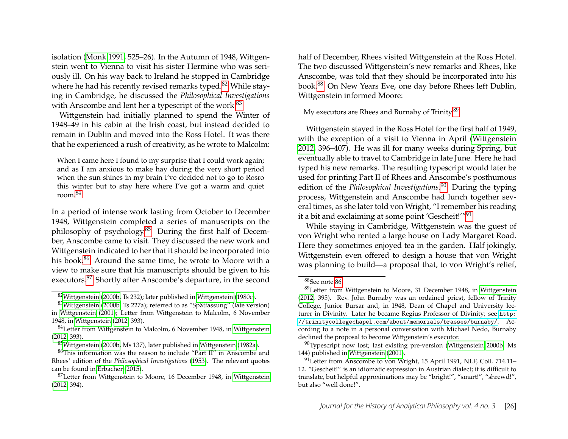isolation [\(Monk 1991,](#page-37-4) 525–26). In the Autumn of 1948, Wittgenstein went to Vienna to visit his sister Hermine who was seriously ill. On his way back to Ireland he stopped in Cambridge where he had his recently revised remarks typed.<sup>[82](#page-26-0)</sup> While staying in Cambridge, he discussed the *Philosophical Investigations* with Anscombe and lent her a typescript of the work.<sup>[83](#page-26-1)</sup>

Wittgenstein had initially planned to spend the Winter of 1948–49 in his cabin at the Irish coast, but instead decided to remain in Dublin and moved into the Ross Hotel. It was there that he experienced a rush of creativity, as he wrote to Malcolm:

When I came here I found to my surprise that I could work again; and as I am anxious to make hay during the very short period when the sun shines in my brain I've decided not to go to Rosro this winter but to stay here where I've got a warm and quiet room.[84](#page-26-2)

In a period of intense work lasting from October to December 1948, Wittgenstein completed a series of manuscripts on the philosophy of psychology.[85](#page-26-3) During the first half of December, Anscombe came to visit. They discussed the new work and Wittgenstein indicated to her that it should be incorporated into his book.<sup>[86](#page-26-4)</sup> Around the same time, he wrote to Moore with a view to make sure that his manuscripts should be given to his executors.[87](#page-26-5) Shortly after Anscombe's departure, in the second half of December, Rhees visited Wittgenstein at the Ross Hotel. The two discussed Wittgenstein's new remarks and Rhees, like Anscombe, was told that they should be incorporated into his book.[88](#page-26-6) On New Years Eve, one day before Rhees left Dublin, Wittgenstein informed Moore:

My executors are Rhees and Burnaby of Trinity.[89](#page-26-7)

Wittgenstein stayed in the Ross Hotel for the first half of 1949, with the exception of a visit to Vienna in April [\(Wittgenstein](#page-39-6) [2012,](#page-39-6) 396–407). He was ill for many weeks during Spring, but eventually able to travel to Cambridge in late June. Here he had typed his new remarks. The resulting typescript would later be used for printing Part II of Rhees and Anscombe's posthumous edition of the *Philosophical Investigations*. [90](#page-26-8) During the typing process, Wittgenstein and Anscombe had lunch together several times, as she later told von Wright, "I remember his reading it a bit and exclaiming at some point 'Gescheit!'"[91](#page-26-9)

While staying in Cambridge, Wittgenstein was the guest of von Wright who rented a large house on Lady Margaret Road. Here they sometimes enjoyed tea in the garden. Half jokingly, Wittgenstein even offered to design a house that von Wright was planning to build—a proposal that, to von Wright's relief,

<span id="page-26-1"></span><span id="page-26-0"></span><sup>82</sup>[Wittgenstein](#page-39-3) [\(2000b,](#page-39-3) Ts 232); later published in [Wittgenstein](#page-39-13) [\(1980c\)](#page-39-13).

<sup>83</sup>[Wittgenstein](#page-39-3) [\(2000b,](#page-39-3) Ts 227a); referred to as "Spätfassung" (late version) in [Wittgenstein](#page-39-4) [\(2001\)](#page-39-4); Letter from Wittgenstein to Malcolm, 6 November 1948, in [Wittgenstein](#page-39-6) [\(2012,](#page-39-6) 393).

<span id="page-26-2"></span><sup>&</sup>lt;sup>84</sup>Letter from [Wittgenstein](#page-39-6) to Malcolm, 6 November 1948, in Wittgenstein [\(2012,](#page-39-6) 393).

<span id="page-26-4"></span><span id="page-26-3"></span><sup>85</sup>[Wittgenstein](#page-39-3) [\(2000b,](#page-39-3) Ms 137), later published in [Wittgenstein](#page-39-14) [\(1982a\)](#page-39-14).

<sup>86</sup>This information was the reason to include "Part II" in Anscombe and Rhees' edition of the *Philosophical Investigations* [\(1953\)](#page-38-17). The relevant quotes can be found in [Erbacher](#page-36-16) [\(2015\)](#page-36-16).

<span id="page-26-5"></span><sup>87</sup>Letter from Wittgenstein to Moore, 16 December 1948, in [Wittgenstein](#page-39-6) [\(2012,](#page-39-6) 394).

<span id="page-26-7"></span><span id="page-26-6"></span> $88$ See note [86.](#page-26-4)

<sup>89</sup>Letter from Wittgenstein to Moore, 31 December 1948, in [Wittgenstein](#page-39-6) [\(2012,](#page-39-6) 395). Rev. John Burnaby was an ordained priest, fellow of Trinity College, Junior Bursar and, in 1948, Dean of Chapel and University lecturer in Divinity. Later he became Regius Professor of Divinity; see [http:](http://trinitycollegechapel.com/about/memorials/brasses/burnaby/) [//trinitycollegechapel.com/about/memorials/brasses/burnaby/](http://trinitycollegechapel.com/about/memorials/brasses/burnaby/). According to a note in a personal conversation with Michael Nedo, Burnaby declined the proposal to become Wittgenstein's executor.

<span id="page-26-8"></span> $90$ Typescript now lost; last existing pre-version [\(Wittgenstein 2000b,](#page-39-3) Ms 144) published in [Wittgenstein](#page-39-4) [\(2001\)](#page-39-4).

<span id="page-26-9"></span> $91$ Letter from Anscombe to von Wright, 15 April 1991, NLF, Coll. 714.11– 12. "Gescheit!" is an idiomatic expression in Austrian dialect; it is difficult to translate, but helpful approximations may be "bright!", "smart!", "shrewd!", but also "well done!".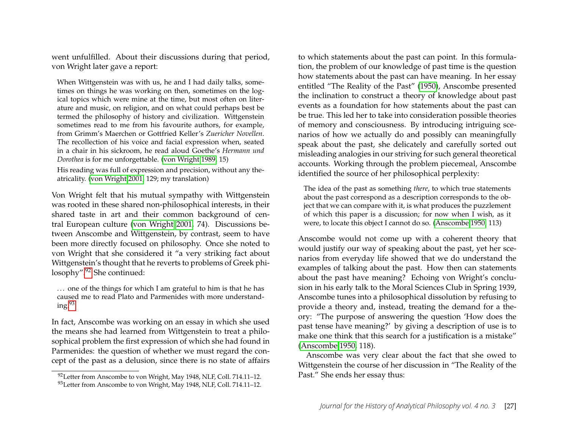went unfulfilled. About their discussions during that period, von Wright later gave a report:

When Wittgenstein was with us, he and I had daily talks, sometimes on things he was working on then, sometimes on the logical topics which were mine at the time, but most often on literature and music, on religion, and on what could perhaps best be termed the philosophy of history and civilization. Wittgenstein sometimes read to me from his favourite authors, for example, from Grimm's Maerchen or Gottfried Keller's *Zuericher Novellen*. The recollection of his voice and facial expression when, seated in a chair in his sickroom, he read aloud Goethe's *Hermann und Dorothea* is for me unforgettable. [\(von Wright 1989,](#page-38-7) 15)

His reading was full of expression and precision, without any theatricality. [\(von Wright 2001,](#page-38-8) 129; my translation)

Von Wright felt that his mutual sympathy with Wittgenstein was rooted in these shared non-philosophical interests, in their shared taste in art and their common background of central European culture [\(von Wright 2001,](#page-38-8) 74). Discussions between Anscombe and Wittgenstein, by contrast, seem to have been more directly focused on philosophy. Once she noted to von Wright that she considered it "a very striking fact about Wittgenstein's thought that he reverts to problems of Greek philosophy".[92](#page-27-0) She continued:

... one of the things for which I am grateful to him is that he has caused me to read Plato and Parmenides with more understanding. $93$ 

In fact, Anscombe was working on an essay in which she used the means she had learned from Wittgenstein to treat a philosophical problem the first expression of which she had found in Parmenides: the question of whether we must regard the concept of the past as a delusion, since there is no state of affairs

to which statements about the past can point. In this formulation, the problem of our knowledge of past time is the question how statements about the past can have meaning. In her essay entitled "The Reality of the Past" [\(1950\)](#page-36-17), Anscombe presented the inclination to construct a theory of knowledge about past events as a foundation for how statements about the past can be true. This led her to take into consideration possible theories of memory and consciousness. By introducing intriguing scenarios of how we actually do and possibly can meaningfully speak about the past, she delicately and carefully sorted out misleading analogies in our striving for such general theoretical accounts. Working through the problem piecemeal, Anscombe identified the source of her philosophical perplexity:

The idea of the past as something *there*, to which true statements about the past correspond as a description corresponds to the object that we can compare with it, is what produces the puzzlement of which this paper is a discussion; for now when I wish, as it were, to locate this object I cannot do so. [\(Anscombe 1950,](#page-36-17) 113)

Anscombe would not come up with a coherent theory that would justify our way of speaking about the past, yet her scenarios from everyday life showed that we do understand the examples of talking about the past. How then can statements about the past have meaning? Echoing von Wright's conclusion in his early talk to the Moral Sciences Club in Spring 1939, Anscombe tunes into a philosophical dissolution by refusing to provide a theory and, instead, treating the demand for a theory: "The purpose of answering the question 'How does the past tense have meaning?' by giving a description of use is to make one think that this search for a justification is a mistake" [\(Anscombe 1950,](#page-36-17) 118).

Anscombe was very clear about the fact that she owed to Wittgenstein the course of her discussion in "The Reality of the Past." She ends her essay thus:

<span id="page-27-0"></span><sup>92</sup>Letter from Anscombe to von Wright, May 1948, NLF, Coll. 714.11–12.

<span id="page-27-1"></span><sup>93</sup> Letter from Anscombe to von Wright, May 1948, NLF, Coll. 714.11-12.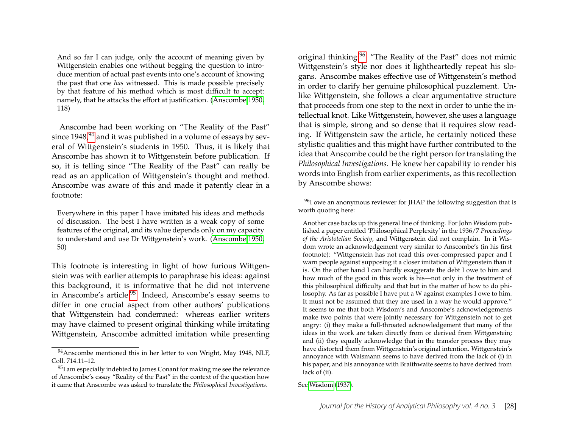And so far I can judge, only the account of meaning given by Wittgenstein enables one without begging the question to introduce mention of actual past events into one's account of knowing the past that one *has* witnessed. This is made possible precisely by that feature of his method which is most difficult to accept: namely, that he attacks the effort at justification. [\(Anscombe 1950,](#page-36-17) 118)

Anscombe had been working on "The Reality of the Past" since  $1948<sup>94</sup>$  $1948<sup>94</sup>$  $1948<sup>94</sup>$  and it was published in a volume of essays by several of Wittgenstein's students in 1950. Thus, it is likely that Anscombe has shown it to Wittgenstein before publication. If so, it is telling since "The Reality of the Past" can really be read as an application of Wittgenstein's thought and method. Anscombe was aware of this and made it patently clear in a footnote:

Everywhere in this paper I have imitated his ideas and methods of discussion. The best I have written is a weak copy of some features of the original, and its value depends only on my capacity to understand and use Dr Wittgenstein's work. [\(Anscombe 1950,](#page-36-17) 50)

This footnote is interesting in light of how furious Wittgenstein was with earlier attempts to paraphrase his ideas: against this background, it is informative that he did not intervene in Anscombe's article.<sup>[95](#page-28-1)</sup> Indeed, Anscombe's essay seems to differ in one crucial aspect from other authors' publications that Wittgenstein had condemned: whereas earlier writers may have claimed to present original thinking while imitating Wittgenstein, Anscombe admitted imitation while presenting

original thinking.<sup>[96](#page-28-2)</sup> "The Reality of the Past" does not mimic Wittgenstein's style nor does it lightheartedly repeat his slogans. Anscombe makes effective use of Wittgenstein's method in order to clarify her genuine philosophical puzzlement. Unlike Wittgenstein, she follows a clear argumentative structure that proceeds from one step to the next in order to untie the intellectual knot. Like Wittgenstein, however, she uses a language that is simple, strong and so dense that it requires slow reading. If Wittgenstein saw the article, he certainly noticed these stylistic qualities and this might have further contributed to the idea that Anscombe could be the right person for translating the *Philosophical Investigations*. He knew her capability to render his words into English from earlier experiments, as this recollection by Anscombe shows:

Another case backs up this general line of thinking. For John Wisdom published a paper entitled 'Philosophical Perplexity' in the 1936/7 *Proceedings of the Aristotelian Society*, and Wittgenstein did not complain. In it Wisdom wrote an acknowledgement very similar to Anscombe's (in his first footnote): "Wittgenstein has not read this over-compressed paper and I warn people against supposing it a closer imitation of Wittgenstein than it is. On the other hand I can hardly exaggerate the debt I owe to him and how much of the good in this work is his—not only in the treatment of this philosophical difficulty and that but in the matter of how to do philosophy. As far as possible I have put a W against examples I owe to him. It must not be assumed that they are used in a way he would approve." It seems to me that both Wisdom's and Anscombe's acknowledgements make two points that were jointly necessary for Wittgenstein not to get angry: (i) they make a full-throated acknowledgement that many of the ideas in the work are taken directly from or derived from Wittgenstein; and (ii) they equally acknowledge that in the transfer process they may have distorted them from Wittgenstein's original intention. Wittgenstein's annoyance with Waismann seems to have derived from the lack of (i) in his paper; and his annoyance with Braithwaite seems to have derived from lack of (ii).

See [Wisdom](#page-38-18) [\(1937\)](#page-38-18).

<span id="page-28-0"></span> $94$ Anscombe mentioned this in her letter to von Wright, May 1948, NLF, Coll. 714.11–12.

<span id="page-28-1"></span> $95$ I am especially indebted to James Conant for making me see the relevance of Anscombe's essay "Reality of the Past" in the context of the question how it came that Anscombe was asked to translate the *Philosophical Investigations*.

<span id="page-28-2"></span><sup>&</sup>lt;sup>96</sup>I owe an anonymous reviewer for JHAP the following suggestion that is worth quoting here: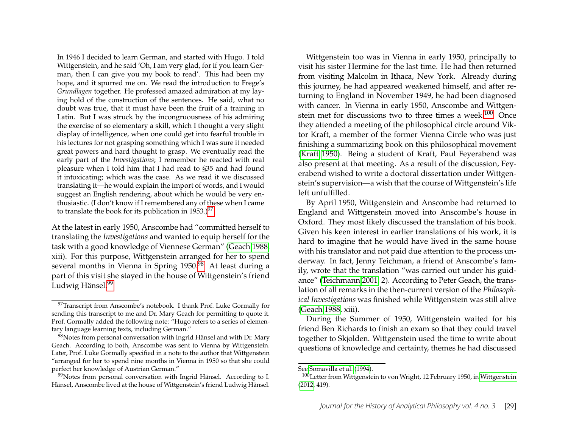In 1946 I decided to learn German, and started with Hugo. I told Wittgenstein, and he said 'Oh, I am very glad, for if you learn German, then I can give you my book to read'. This had been my hope, and it spurred me on. We read the introduction to Frege's *Grundlagen* together. He professed amazed admiration at my laying hold of the construction of the sentences. He said, what no doubt was true, that it must have been the fruit of a training in Latin. But I was struck by the incongruousness of his admiring the exercise of so elementary a skill, which I thought a very slight display of intelligence, when one could get into fearful trouble in his lectures for not grasping something which I was sure it needed great powers and hard thought to grasp. We eventually read the early part of the *Investigations*; I remember he reacted with real pleasure when I told him that I had read to §35 and had found it intoxicating; which was the case. As we read it we discussed translating it—he would explain the import of words, and I would suggest an English rendering, about which he would be very enthusiastic. (I don't know if I remembered any of these when I came to translate the book for its publication in  $1953.$ )<sup>[97](#page-29-0)</sup>

At the latest in early 1950, Anscombe had "committed herself to translating the *Investigations* and wanted to equip herself for the task with a good knowledge of Viennese German" [\(Geach 1988,](#page-36-12) xiii). For this purpose, Wittgenstein arranged for her to spend several months in Vienna in Spring 1950.<sup>[98](#page-29-1)</sup> At least during a part of this visit she stayed in the house of Wittgenstein's friend Ludwig Hänsel.<sup>[99](#page-29-2)</sup>

Wittgenstein too was in Vienna in early 1950, principally to visit his sister Hermine for the last time. He had then returned from visiting Malcolm in Ithaca, New York. Already during this journey, he had appeared weakened himself, and after returning to England in November 1949, he had been diagnosed with cancer. In Vienna in early 1950, Anscombe and Wittgen-stein met for discussions two to three times a week.<sup>[100](#page-29-3)</sup> Once they attended a meeting of the philosophical circle around Viktor Kraft, a member of the former Vienna Circle who was just finishing a summarizing book on this philosophical movement [\(Kraft 1950\)](#page-37-20). Being a student of Kraft, Paul Feyerabend was also present at that meeting. As a result of the discussion, Feyerabend wished to write a doctoral dissertation under Wittgenstein's supervision—a wish that the course of Wittgenstein's life left unfulfilled.

By April 1950, Wittgenstein and Anscombe had returned to England and Wittgenstein moved into Anscombe's house in Oxford. They most likely discussed the translation of his book. Given his keen interest in earlier translations of his work, it is hard to imagine that he would have lived in the same house with his translator and not paid due attention to the process underway. In fact, Jenny Teichman, a friend of Anscombe's family, wrote that the translation "was carried out under his guidance" [\(Teichmann 2001,](#page-37-18) 2). According to Peter Geach, the translation of all remarks in the then-current version of the *Philosophical Investigations* was finished while Wittgenstein was still alive [\(Geach 1988,](#page-36-12) xiii).

During the Summer of 1950, Wittgenstein waited for his friend Ben Richards to finish an exam so that they could travel together to Skjolden. Wittgenstein used the time to write about questions of knowledge and certainty, themes he had discussed

<span id="page-29-0"></span><sup>97</sup>Transcript from Anscombe's notebook. I thank Prof. Luke Gormally for sending this transcript to me and Dr. Mary Geach for permitting to quote it. Prof. Gormally added the following note: "Hugo refers to a series of elementary language learning texts, including German."

<span id="page-29-1"></span><sup>&</sup>lt;sup>98</sup>Notes from personal conversation with Ingrid Hänsel and with Dr. Mary Geach. According to both, Anscombe was sent to Vienna by Wittgenstein. Later, Prof. Luke Gormally specified in a note to the author that Wittgenstein "arranged for her to spend nine months in Vienna in 1950 so that she could perfect her knowledge of Austrian German."

<span id="page-29-2"></span> $99$ Notes from personal conversation with Ingrid Hänsel. According to I. Hänsel, Anscombe lived at the house of Wittgenstein's friend Ludwig Hänsel.

See [Somavilla et al.](#page-37-21) [\(1994\)](#page-37-21).

<span id="page-29-3"></span> $100$ Letter from [Wittgenstein](#page-39-6) to von Wright, 12 February 1950, in Wittgenstein [\(2012,](#page-39-6) 419).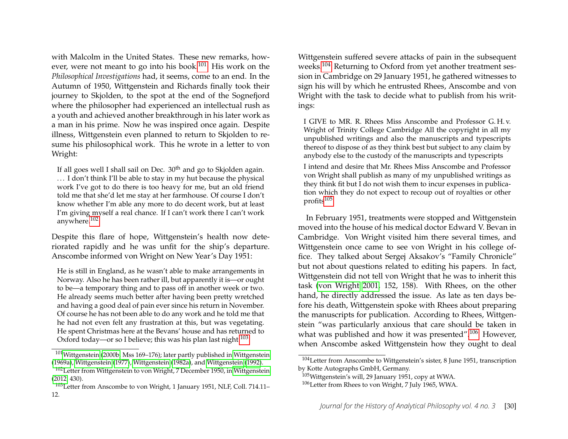with Malcolm in the United States. These new remarks, how-ever, were not meant to go into his book.<sup>[101](#page-30-0)</sup> His work on the *Philosophical Investigations* had, it seems, come to an end. In the Autumn of 1950, Wittgenstein and Richards finally took their journey to Skjolden, to the spot at the end of the Sognefjord where the philosopher had experienced an intellectual rush as a youth and achieved another breakthrough in his later work as a man in his prime. Now he was inspired once again. Despite illness, Wittgenstein even planned to return to Skjolden to resume his philosophical work. This he wrote in a letter to von Wright:

If all goes well I shall sail on Dec.  $30<sup>th</sup>$  and go to Skjolden again. . . . I don't think I'll be able to stay in my hut because the physical work I've got to do there is too heavy for me, but an old friend told me that she'd let me stay at her farmhouse. Of course I don't know whether I'm able any more to do decent work, but at least I'm giving myself a real chance. If I can't work there I can't work anywhere.<sup>[102](#page-30-1)</sup>

Despite this flare of hope, Wittgenstein's health now deteriorated rapidly and he was unfit for the ship's departure. Anscombe informed von Wright on New Year's Day 1951:

He is still in England, as he wasn't able to make arrangements in Norway. Also he has been rather ill, but apparently it is—or ought to be—a temporary thing and to pass off in another week or two. He already seems much better after having been pretty wretched and having a good deal of pain ever since his return in November. Of course he has not been able to do any work and he told me that he had not even felt any frustration at this, but was vegetating. He spent Christmas here at the Bevans' house and has returned to Oxford today—or so I believe; this was his plan last night. $103$ 

Wittgenstein suffered severe attacks of pain in the subsequent weeks.[104](#page-30-3) Returning to Oxford from yet another treatment session in Cambridge on 29 January 1951, he gathered witnesses to sign his will by which he entrusted Rhees, Anscombe and von Wright with the task to decide what to publish from his writings:

I GIVE to MR. R. Rhees Miss Anscombe and Professor G. H. v. Wright of Trinity College Cambridge All the copyright in all my unpublished writings and also the manuscripts and typescripts thereof to dispose of as they think best but subject to any claim by anybody else to the custody of the manuscripts and typescripts

I intend and desire that Mr. Rhees Miss Anscombe and Professor von Wright shall publish as many of my unpublished writings as they think fit but I do not wish them to incur expenses in publication which they do not expect to recoup out of royalties or other profits $105$ 

In February 1951, treatments were stopped and Wittgenstein moved into the house of his medical doctor Edward V. Bevan in Cambridge. Von Wright visited him there several times, and Wittgenstein once came to see von Wright in his college office. They talked about Sergej Aksakov's "Family Chronicle" but not about questions related to editing his papers. In fact, Wittgenstein did not tell von Wright that he was to inherit this task [\(von Wright 2001,](#page-38-8) 152, 158). With Rhees, on the other hand, he directly addressed the issue. As late as ten days before his death, Wittgenstein spoke with Rhees about preparing the manuscripts for publication. According to Rhees, Wittgenstein "was particularly anxious that care should be taken in what was published and how it was presented".<sup>[106](#page-30-5)</sup> However, when Anscombe asked Wittgenstein how they ought to deal

<span id="page-30-0"></span> $101$ [Wittgenstein](#page-39-3) [\(2000b,](#page-39-3) Mss 169–176); later partly published in [Wittgenstein](#page-38-19) [\(1969a\)](#page-38-19), [Wittgenstein](#page-38-20) [\(1977\)](#page-38-20), [Wittgenstein](#page-39-14) [\(1982a\)](#page-39-14), and [Wittgenstein](#page-39-15) [\(1992\)](#page-39-15).

<span id="page-30-1"></span> $102$ Letter from [Wittgenstein](#page-39-6) to von Wright, 7 December 1950, in Wittgenstein [\(2012,](#page-39-6) 430).

<span id="page-30-2"></span><sup>103</sup>Letter from Anscombe to von Wright, 1 January 1951, NLF, Coll. 714.11– 12.

<span id="page-30-3"></span><sup>&</sup>lt;sup>104</sup>Letter from Anscombe to Wittgenstein's sister, 8 June 1951, transcription by Kotte Autographs GmbH, Germany.

<span id="page-30-4"></span><sup>105</sup>Wittgenstein's will, 29 January 1951, copy at WWA.

<span id="page-30-5"></span><sup>106</sup>Letter from Rhees to von Wright, 7 July 1965, WWA.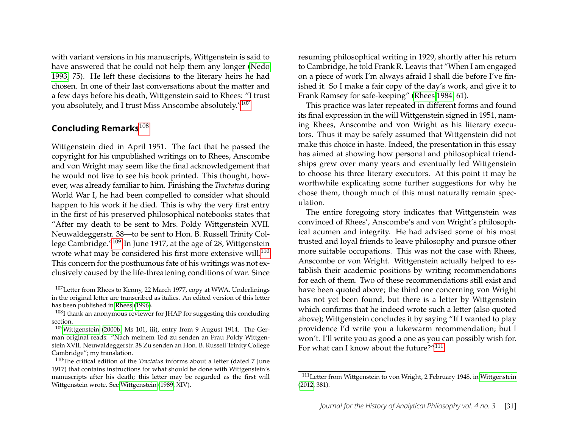with variant versions in his manuscripts, Wittgenstein is said to have answered that he could not help them any longer [\(Nedo](#page-37-22) [1993,](#page-37-22) 75). He left these decisions to the literary heirs he had chosen. In one of their last conversations about the matter and a few days before his death, Wittgenstein said to Rhees: "I trust you absolutely, and I trust Miss Anscombe absolutely."[107](#page-31-0)

## **Concluding Remarks**[108](#page-31-1)

Wittgenstein died in April 1951. The fact that he passed the copyright for his unpublished writings on to Rhees, Anscombe and von Wright may seem like the final acknowledgement that he would not live to see his book printed. This thought, however, was already familiar to him. Finishing the *Tractatus* during World War I, he had been compelled to consider what should happen to his work if he died. This is why the very first entry in the first of his preserved philosophical notebooks states that "After my death to be sent to Mrs. Poldy Wittgenstein XVII. Neuwaldeggerstr. 38—to be sent to Hon. B. Russell Trinity College Cambridge."[109](#page-31-2) In June 1917, at the age of 28, Wittgenstein wrote what may be considered his first more extensive will.<sup>[110](#page-31-3)</sup> This concern for the posthumous fate of his writings was not exclusively caused by the life-threatening conditions of war. Since resuming philosophical writing in 1929, shortly after his return to Cambridge, he told Frank R. Leavis that "When I am engaged on a piece of work I'm always afraid I shall die before I've finished it. So I make a fair copy of the day's work, and give it to Frank Ramsey for safe-keeping" [\(Rhees 1984,](#page-37-6) 61).

This practice was later repeated in different forms and found its final expression in the will Wittgenstein signed in 1951, naming Rhees, Anscombe and von Wright as his literary executors. Thus it may be safely assumed that Wittgenstein did not make this choice in haste. Indeed, the presentation in this essay has aimed at showing how personal and philosophical friendships grew over many years and eventually led Wittgenstein to choose his three literary executors. At this point it may be worthwhile explicating some further suggestions for why he chose them, though much of this must naturally remain speculation.

The entire foregoing story indicates that Wittgenstein was convinced of Rhees', Anscombe's and von Wright's philosophical acumen and integrity. He had advised some of his most trusted and loyal friends to leave philosophy and pursue other more suitable occupations. This was not the case with Rhees, Anscombe or von Wright. Wittgenstein actually helped to establish their academic positions by writing recommendations for each of them. Two of these recommendations still exist and have been quoted above; the third one concerning von Wright has not yet been found, but there is a letter by Wittgenstein which confirms that he indeed wrote such a letter (also quoted above); Wittgenstein concludes it by saying "If I wanted to play providence I'd write you a lukewarm recommendation; but I won't. I'll write you as good a one as you can possibly wish for. For what can I know about the future?"<sup>[111](#page-31-4)</sup>

<span id="page-31-0"></span> $107$ Letter from Rhees to Kenny, 22 March 1977, copy at WWA. Underlinings in the original letter are transcribed as italics. An edited version of this letter has been published in [Rhees](#page-37-23) [\(1996\)](#page-37-23).

<span id="page-31-1"></span> $108$ I thank an anonymous reviewer for JHAP for suggesting this concluding section.

<span id="page-31-2"></span><sup>109</sup>[Wittgenstein](#page-39-3) [\(2000b,](#page-39-3) Ms 101, iii), entry from 9 August 1914. The German original reads: "Nach meinem Tod zu senden an Frau Poldy Wittgenstein XVII. Neuwaldeggerstr. 38 Zu senden an Hon. B. Russell Trinity College Cambridge"; my translation.

<span id="page-31-3"></span><sup>110</sup>The critical edition of the *Tractatus* informs about a letter (dated 7 June 1917) that contains instructions for what should be done with Wittgenstein's manuscripts after his death; this letter may be regarded as the first will Wittgenstein wrote. See [Wittgenstein](#page-39-16) [\(1989,](#page-39-16) XIV).

<span id="page-31-4"></span><sup>&</sup>lt;sup>111</sup>Letter from [Wittgenstein](#page-39-6) to von Wright, 2 February 1948, in Wittgenstein [\(2012,](#page-39-6) 381).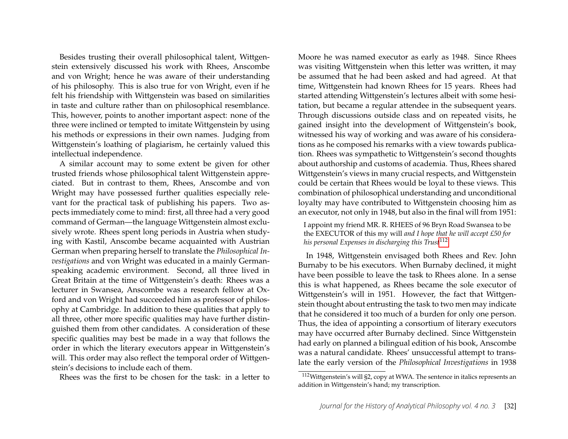Besides trusting their overall philosophical talent, Wittgenstein extensively discussed his work with Rhees, Anscombe and von Wright; hence he was aware of their understanding of his philosophy. This is also true for von Wright, even if he felt his friendship with Wittgenstein was based on similarities in taste and culture rather than on philosophical resemblance. This, however, points to another important aspect: none of the three were inclined or tempted to imitate Wittgenstein by using his methods or expressions in their own names. Judging from Wittgenstein's loathing of plagiarism, he certainly valued this intellectual independence.

A similar account may to some extent be given for other trusted friends whose philosophical talent Wittgenstein appreciated. But in contrast to them, Rhees, Anscombe and von Wright may have possessed further qualities especially relevant for the practical task of publishing his papers. Two aspects immediately come to mind: first, all three had a very good command of German—the language Wittgenstein almost exclusively wrote. Rhees spent long periods in Austria when studying with Kastil, Anscombe became acquainted with Austrian German when preparing herself to translate the *Philosophical Investigations* and von Wright was educated in a mainly Germanspeaking academic environment. Second, all three lived in Great Britain at the time of Wittgenstein's death: Rhees was a lecturer in Swansea, Anscombe was a research fellow at Oxford and von Wright had succeeded him as professor of philosophy at Cambridge. In addition to these qualities that apply to all three, other more specific qualities may have further distinguished them from other candidates. A consideration of these specific qualities may best be made in a way that follows the order in which the literary executors appear in Wittgenstein's will. This order may also reflect the temporal order of Wittgenstein's decisions to include each of them.

Rhees was the first to be chosen for the task: in a letter to

Moore he was named executor as early as 1948. Since Rhees was visiting Wittgenstein when this letter was written, it may be assumed that he had been asked and had agreed. At that time, Wittgenstein had known Rhees for 15 years. Rhees had started attending Wittgenstein's lectures albeit with some hesitation, but became a regular attendee in the subsequent years. Through discussions outside class and on repeated visits, he gained insight into the development of Wittgenstein's book, witnessed his way of working and was aware of his considerations as he composed his remarks with a view towards publication. Rhees was sympathetic to Wittgenstein's second thoughts about authorship and customs of academia. Thus, Rhees shared Wittgenstein's views in many crucial respects, and Wittgenstein could be certain that Rhees would be loyal to these views. This combination of philosophical understanding and unconditional loyalty may have contributed to Wittgenstein choosing him as an executor, not only in 1948, but also in the final will from 1951:

I appoint my friend MR. R. RHEES of 96 Bryn Road Swansea to be the EXECUTOR of this my will *and I hope that he will accept £50 for his personal Expenses in discharging this Trust*<sup>[112](#page-32-0)</sup>

In 1948, Wittgenstein envisaged both Rhees and Rev. John Burnaby to be his executors. When Burnaby declined, it might have been possible to leave the task to Rhees alone. In a sense this is what happened, as Rhees became the sole executor of Wittgenstein's will in 1951. However, the fact that Wittgenstein thought about entrusting the task to two men may indicate that he considered it too much of a burden for only one person. Thus, the idea of appointing a consortium of literary executors may have occurred after Burnaby declined. Since Wittgenstein had early on planned a bilingual edition of his book, Anscombe was a natural candidate. Rhees' unsuccessful attempt to translate the early version of the *Philosophical Investigations* in 1938

<span id="page-32-0"></span><sup>112</sup>Wittgenstein's will §2, copy at WWA. The sentence in italics represents an addition in Wittgenstein's hand; my transcription.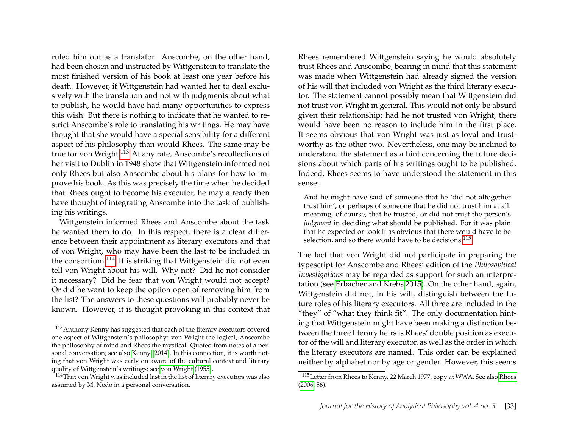ruled him out as a translator. Anscombe, on the other hand, had been chosen and instructed by Wittgenstein to translate the most finished version of his book at least one year before his death. However, if Wittgenstein had wanted her to deal exclusively with the translation and not with judgments about what to publish, he would have had many opportunities to express this wish. But there is nothing to indicate that he wanted to restrict Anscombe's role to translating his writings. He may have thought that she would have a special sensibility for a different aspect of his philosophy than would Rhees. The same may be true for von Wright.<sup>[113](#page-33-0)</sup> At any rate, Anscombe's recollections of her visit to Dublin in 1948 show that Wittgenstein informed not only Rhees but also Anscombe about his plans for how to improve his book. As this was precisely the time when he decided that Rhees ought to become his executor, he may already then have thought of integrating Anscombe into the task of publishing his writings.

Wittgenstein informed Rhees and Anscombe about the task he wanted them to do. In this respect, there is a clear difference between their appointment as literary executors and that of von Wright, who may have been the last to be included in the consortium.[114](#page-33-1) It is striking that Wittgenstein did not even tell von Wright about his will. Why not? Did he not consider it necessary? Did he fear that von Wright would not accept? Or did he want to keep the option open of removing him from the list? The answers to these questions will probably never be known. However, it is thought-provoking in this context that

Rhees remembered Wittgenstein saying he would absolutely trust Rhees and Anscombe, bearing in mind that this statement was made when Wittgenstein had already signed the version of his will that included von Wright as the third literary executor. The statement cannot possibly mean that Wittgenstein did not trust von Wright in general. This would not only be absurd given their relationship; had he not trusted von Wright, there would have been no reason to include him in the first place. It seems obvious that von Wright was just as loyal and trustworthy as the other two. Nevertheless, one may be inclined to understand the statement as a hint concerning the future decisions about which parts of his writings ought to be published. Indeed, Rhees seems to have understood the statement in this sense:

And he might have said of someone that he 'did not altogether trust him', or perhaps of someone that he did not trust him at all: meaning, of course, that he trusted, or did not trust the person's *judgment* in deciding what should be published. For it was plain that he expected or took it as obvious that there would have to be selection, and so there would have to be decisions.<sup>[115](#page-33-2)</sup>

The fact that von Wright did not participate in preparing the typescript for Anscombe and Rhees' edition of the *Philosophical Investigations* may be regarded as support for such an interpretation (see [Erbacher and Krebs 2015\)](#page-36-18). On the other hand, again, Wittgenstein did not, in his will, distinguish between the future roles of his literary executors. All three are included in the "they" of "what they think fit". The only documentation hinting that Wittgenstein might have been making a distinction between the three literary heirs is Rhees' double position as executor of the will and literary executor, as well as the order in which the literary executors are named. This order can be explained neither by alphabet nor by age or gender. However, this seems

<span id="page-33-0"></span><sup>&</sup>lt;sup>113</sup>Anthony Kenny has suggested that each of the literary executors covered one aspect of Wittgenstein's philosophy: von Wright the logical, Anscombe the philosophy of mind and Rhees the mystical. Quoted from notes of a personal conversation; see also [Kenny](#page-37-24) [\(2014\)](#page-37-24). In this connection, it is worth noting that von Wright was early on aware of the cultural context and literary quality of Wittgenstein's writings: see [von Wright](#page-38-21) [\(1955\)](#page-38-21).

<span id="page-33-1"></span> $114$ That von Wright was included last in the list of literary executors was also assumed by M. Nedo in a personal conversation.

<span id="page-33-2"></span><sup>115</sup>Letter from Rhees to Kenny, 22 March 1977, copy at WWA. See also [Rhees](#page-37-5) [\(2006,](#page-37-5) 56).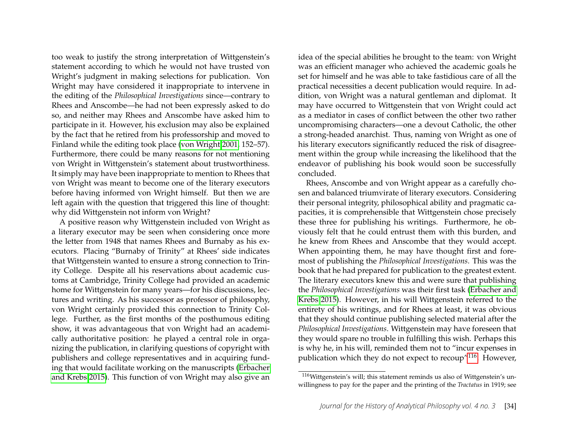too weak to justify the strong interpretation of Wittgenstein's statement according to which he would not have trusted von Wright's judgment in making selections for publication. Von Wright may have considered it inappropriate to intervene in the editing of the *Philosophical Investigations* since—contrary to Rhees and Anscombe—he had not been expressly asked to do so, and neither may Rhees and Anscombe have asked him to participate in it. However, his exclusion may also be explained by the fact that he retired from his professorship and moved to Finland while the editing took place [\(von Wright 2001,](#page-38-8) 152–57). Furthermore, there could be many reasons for not mentioning von Wright in Wittgenstein's statement about trustworthiness. It simply may have been inappropriate to mention to Rhees that von Wright was meant to become one of the literary executors before having informed von Wright himself. But then we are left again with the question that triggered this line of thought: why did Wittgenstein not inform von Wright?

A positive reason why Wittgenstein included von Wright as a literary executor may be seen when considering once more the letter from 1948 that names Rhees and Burnaby as his executors. Placing "Burnaby of Trinity" at Rhees' side indicates that Wittgenstein wanted to ensure a strong connection to Trinity College. Despite all his reservations about academic customs at Cambridge, Trinity College had provided an academic home for Wittgenstein for many years—for his discussions, lectures and writing. As his successor as professor of philosophy, von Wright certainly provided this connection to Trinity College. Further, as the first months of the posthumous editing show, it was advantageous that von Wright had an academically authoritative position: he played a central role in organizing the publication, in clarifying questions of copyright with publishers and college representatives and in acquiring funding that would facilitate working on the manuscripts [\(Erbacher](#page-36-18) [and Krebs 2015\)](#page-36-18). This function of von Wright may also give an

idea of the special abilities he brought to the team: von Wright was an efficient manager who achieved the academic goals he set for himself and he was able to take fastidious care of all the practical necessities a decent publication would require. In addition, von Wright was a natural gentleman and diplomat. It may have occurred to Wittgenstein that von Wright could act as a mediator in cases of conflict between the other two rather uncompromising characters—one a devout Catholic, the other a strong-headed anarchist. Thus, naming von Wright as one of his literary executors significantly reduced the risk of disagreement within the group while increasing the likelihood that the endeavor of publishing his book would soon be successfully concluded.

Rhees, Anscombe and von Wright appear as a carefully chosen and balanced triumvirate of literary executors. Considering their personal integrity, philosophical ability and pragmatic capacities, it is comprehensible that Wittgenstein chose precisely these three for publishing his writings. Furthermore, he obviously felt that he could entrust them with this burden, and he knew from Rhees and Anscombe that they would accept. When appointing them, he may have thought first and foremost of publishing the *Philosophical Investigations*. This was the book that he had prepared for publication to the greatest extent. The literary executors knew this and were sure that publishing the *Philosophical Investigations* was their first task [\(Erbacher and](#page-36-18) [Krebs 2015\)](#page-36-18). However, in his will Wittgenstein referred to the entirety of his writings, and for Rhees at least, it was obvious that they should continue publishing selected material after the *Philosophical Investigations*. Wittgenstein may have foreseen that they would spare no trouble in fulfilling this wish. Perhaps this is why he, in his will, reminded them not to "incur expenses in publication which they do not expect to recoup"<sup>[116](#page-34-0)</sup>. However,

<span id="page-34-0"></span><sup>116</sup>Wittgenstein's will; this statement reminds us also of Wittgenstein's unwillingness to pay for the paper and the printing of the *Tractatus* in 1919; see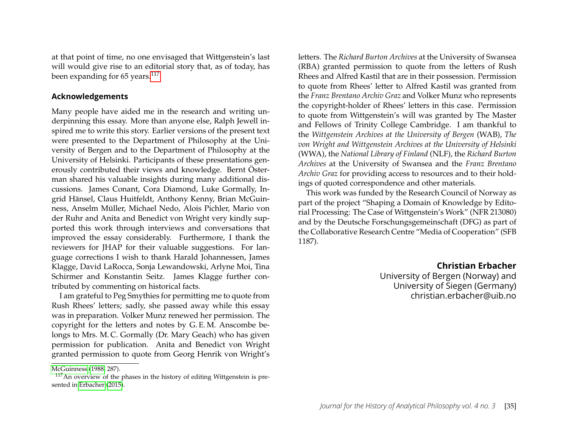at that point of time, no one envisaged that Wittgenstein's last will would give rise to an editorial story that, as of today, has been expanding for  $65$  years.<sup>[117](#page-35-0)</sup>

#### **Acknowledgements**

Many people have aided me in the research and writing underpinning this essay. More than anyone else, Ralph Jewell inspired me to write this story. Earlier versions of the present text were presented to the Department of Philosophy at the University of Bergen and to the Department of Philosophy at the University of Helsinki. Participants of these presentations generously contributed their views and knowledge. Bernt Österman shared his valuable insights during many additional discussions. James Conant, Cora Diamond, Luke Gormally, Ingrid Hänsel, Claus Huitfeldt, Anthony Kenny, Brian McGuinness, Anselm Müller, Michael Nedo, Alois Pichler, Mario von der Ruhr and Anita and Benedict von Wright very kindly supported this work through interviews and conversations that improved the essay considerably. Furthermore, I thank the reviewers for JHAP for their valuable suggestions. For language corrections I wish to thank Harald Johannessen, James Klagge, David LaRocca, Sonja Lewandowski, Arlyne Moi, Tina Schirmer and Konstantin Seitz. James Klagge further contributed by commenting on historical facts.

I am grateful to Peg Smythies for permitting me to quote from Rush Rhees' letters; sadly, she passed away while this essay was in preparation. Volker Munz renewed her permission. The copyright for the letters and notes by G. E. M. Anscombe belongs to Mrs. M. C. Gormally (Dr. Mary Geach) who has given permission for publication. Anita and Benedict von Wright granted permission to quote from Georg Henrik von Wright's letters. The *Richard Burton Archives* at the University of Swansea (RBA) granted permission to quote from the letters of Rush Rhees and Alfred Kastil that are in their possession. Permission to quote from Rhees' letter to Alfred Kastil was granted from the *Franz Brentano Archiv Graz* and Volker Munz who represents the copyright-holder of Rhees' letters in this case. Permission to quote from Wittgenstein's will was granted by The Master and Fellows of Trinity College Cambridge. I am thankful to the *Wittgenstein Archives at the University of Bergen* (WAB), *The von Wright and Wittgenstein Archives at the University of Helsinki* (WWA), the *National Library of Finland* (NLF), the *Richard Burton Archives* at the University of Swansea and the *Franz Brentano Archiv Graz* for providing access to resources and to their holdings of quoted correspondence and other materials.

This work was funded by the Research Council of Norway as part of the project "Shaping a Domain of Knowledge by Editorial Processing: The Case of Wittgenstein's Work" (NFR 213080) and by the Deutsche Forschungsgemeinschaft (DFG) as part of the Collaborative Research Centre "Media of Cooperation" (SFB 1187).

#### **Christian Erbacher**

University of Bergen (Norway) and University of Siegen (Germany) christian.erbacher@uib.no

[McGuinness](#page-37-16) [\(1988,](#page-37-16) 287).

<span id="page-35-0"></span><sup>117</sup>An overview of the phases in the history of editing Wittgenstein is presented in [Erbacher](#page-36-16) [\(2015\)](#page-36-16).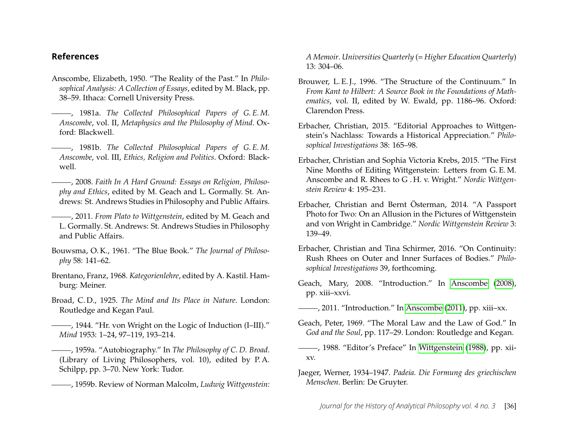## **References**

- <span id="page-36-17"></span>Anscombe, Elizabeth, 1950. "The Reality of the Past." In *Philosophical Analysis: A Collection of Essays*, edited by M. Black, pp. 38–59. Ithaca: Cornell University Press.
- <span id="page-36-7"></span>, 1981a. *The Collected Philosophical Papers of G. E. M. Anscombe*, vol. II, *Metaphysics and the Philosophy of Mind*. Oxford: Blackwell.
- <span id="page-36-9"></span>, 1981b. *The Collected Philosophical Papers of G. E. M. Anscombe*, vol. III, *Ethics, Religion and Politics*. Oxford: Blackwell.
- <span id="page-36-19"></span>, 2008. *Faith In A Hard Ground: Essays on Religion, Philosophy and Ethics*, edited by M. Geach and L. Gormally. St. Andrews: St. Andrews Studies in Philosophy and Public Affairs.
- <span id="page-36-20"></span>, 2011. *From Plato to Wittgenstein*, edited by M. Geach and L. Gormally. St. Andrews: St. Andrews Studies in Philosophy and Public Affairs.
- <span id="page-36-2"></span>Bouwsma, O. K., 1961. "The Blue Book." *The Journal of Philosophy* 58: 141–62.
- <span id="page-36-0"></span>Brentano, Franz, 1968. *Kategorienlehre*, edited by A. Kastil. Hamburg: Meiner.
- <span id="page-36-5"></span>Broad, C. D., 1925. *The Mind and Its Place in Nature*. London: Routledge and Kegan Paul.
- <span id="page-36-13"></span>, 1944. "Hr. von Wright on the Logic of Induction (I–III)." *Mind* 1953: 1–24, 97–119, 193–214.
- <span id="page-36-6"></span>, 1959a. "Autobiography." In *The Philosophy of C. D. Broad.* (Library of Living Philosophers, vol. 10), edited by P. A. Schilpp, pp. 3–70. New York: Tudor.
- <span id="page-36-4"></span>, 1959b. Review of Norman Malcolm, *Ludwig Wittgenstein:*

*A Memoir*. *Universities Quarterly* (= *Higher Education Quarterly*) 13: 304–06.

- <span id="page-36-3"></span>Brouwer, L. E. J., 1996. "The Structure of the Continuum." In *From Kant to Hilbert: A Source Book in the Foundations of Mathematics*, vol. II, edited by W. Ewald, pp. 1186–96. Oxford: Clarendon Press.
- <span id="page-36-16"></span>Erbacher, Christian, 2015. "Editorial Approaches to Wittgenstein's Nachlass: Towards a Historical Appreciation." *Philosophical Investigations* 38: 165–98.
- <span id="page-36-18"></span>Erbacher, Christian and Sophia Victoria Krebs, 2015. "The First Nine Months of Editing Wittgenstein: Letters from G. E. M. Anscombe and R. Rhees to G . H. v. Wright." *Nordic Wittgenstein Review* 4: 195–231.
- <span id="page-36-15"></span>Erbacher, Christian and Bernt Österman, 2014. "A Passport Photo for Two: On an Allusion in the Pictures of Wittgenstein and von Wright in Cambridge." *Nordic Wittgenstein Review* 3: 139–49.
- <span id="page-36-1"></span>Erbacher, Christian and Tina Schirmer, 2016. "On Continuity: Rush Rhees on Outer and Inner Surfaces of Bodies." *Philosophical Investigations* 39, forthcoming.
- <span id="page-36-8"></span>Geach, Mary, 2008. "Introduction." In [Anscombe](#page-36-19) [\(2008\)](#page-36-19), pp. xiii–xxvi.
- <span id="page-36-10"></span>, 2011. "Introduction." In [Anscombe](#page-36-20) [\(2011\)](#page-36-20), pp. xiii–xx.
- <span id="page-36-11"></span>Geach, Peter, 1969. "The Moral Law and the Law of God." In *God and the Soul*, pp. 117–29. London: Routledge and Kegan.
- <span id="page-36-12"></span>, 1988. "Editor's Preface" In [Wittgenstein](#page-39-11) [\(1988\)](#page-39-11), pp. xiixv.
- <span id="page-36-14"></span>Jaeger, Werner, 1934–1947. *Padeia. Die Formung des griechischen Menschen*. Berlin: De Gruyter.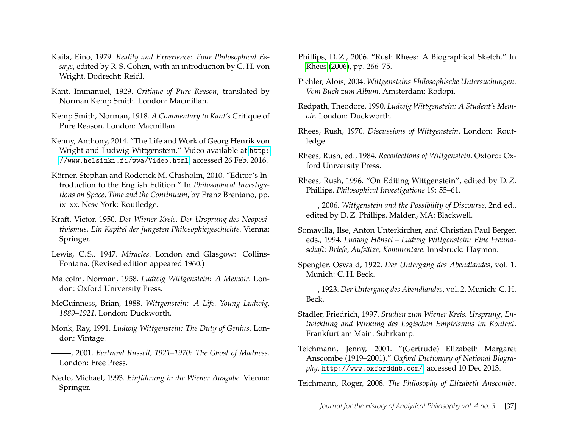- <span id="page-37-12"></span>Kaila, Eino, 1979. *Reality and Experience: Four Philosophical Essays*, edited by R. S. Cohen, with an introduction by G. H. von Wright. Dodrecht: Reidl.
- <span id="page-37-2"></span>Kant, Immanuel, 1929. *Critique of Pure Reason*, translated by Norman Kemp Smith. London: Macmillan.
- <span id="page-37-1"></span>Kemp Smith, Norman, 1918. *A Commentary to Kant's* Critique of Pure Reason. London: Macmillan.
- <span id="page-37-24"></span>Kenny, Anthony, 2014. "The Life and Work of Georg Henrik von Wright and Ludwig Wittgenstein." Video available at [http:](http://www.helsinki.fi/wwa/Video.html) [//www.helsinki.fi/wwa/Video.html](http://www.helsinki.fi/wwa/Video.html), accessed 26 Feb. 2016.
- <span id="page-37-3"></span>Körner, Stephan and Roderick M. Chisholm, 2010. "Editor's Introduction to the English Edition." In *Philosophical Investigations on Space, Time and the Continuum*, by Franz Brentano, pp. ix–xx. New York: Routledge.
- <span id="page-37-20"></span>Kraft, Victor, 1950. *Der Wiener Kreis. Der Ursprung des Neopositivismus. Ein Kapitel der jüngsten Philosophiegeschichte*. Vienna: Springer.
- <span id="page-37-19"></span>Lewis, C. S., 1947. *Miracles*. London and Glasgow: Collins-Fontana. (Revised edition appeared 1960.)
- <span id="page-37-10"></span>Malcolm, Norman, 1958. *Ludwig Wittgenstein: A Memoir*. London: Oxford University Press.
- <span id="page-37-16"></span>McGuinness, Brian, 1988. *Wittgenstein: A Life. Young Ludwig, 1889–1921*. London: Duckworth.
- <span id="page-37-4"></span>Monk, Ray, 1991. *Ludwig Wittgenstein: The Duty of Genius*. London: Vintage.
- <span id="page-37-15"></span>, 2001. *Bertrand Russell, 1921–1970: The Ghost of Madness*. London: Free Press.
- <span id="page-37-22"></span>Nedo, Michael, 1993. *Einführung in die Wiener Ausgabe*. Vienna: Springer.
- <span id="page-37-0"></span>Phillips, D. Z., 2006. "Rush Rhees: A Biographical Sketch." In [Rhees](#page-37-5) [\(2006\)](#page-37-5), pp. 266–75.
- <span id="page-37-9"></span>Pichler, Alois, 2004. *Wittgensteins Philosophische Untersuchungen. Vom Buch zum Album*. Amsterdam: Rodopi.
- <span id="page-37-11"></span>Redpath, Theodore, 1990. *Ludwig Wittgenstein: A Student's Memoir*. London: Duckworth.
- <span id="page-37-7"></span>Rhees, Rush, 1970. *Discussions of Wittgenstein*. London: Routledge.
- <span id="page-37-6"></span>Rhees, Rush, ed., 1984. *Recollections of Wittgenstein*. Oxford: Oxford University Press.
- <span id="page-37-23"></span>Rhees, Rush, 1996. "On Editing Wittgenstein", edited by D. Z. Phillips. *Philosophical Investigations* 19: 55–61.
- <span id="page-37-5"></span>, 2006. *Wittgenstein and the Possibility of Discourse*, 2nd ed., edited by D. Z. Phillips. Malden, MA: Blackwell.
- <span id="page-37-21"></span>Somavilla, Ilse, Anton Unterkircher, and Christian Paul Berger, eds., 1994. *Ludwig Hänsel – Ludwig Wittgenstein: Eine Freundschaft: Briefe, Aufsätze, Kommentare*. Innsbruck: Haymon.
- <span id="page-37-13"></span>Spengler, Oswald, 1922. *Der Untergang des Abendlandes*, vol. 1. Munich: C. H. Beck.
- <span id="page-37-14"></span>, 1923. *Der Untergang des Abendlandes*, vol. 2. Munich: C. H. Beck.
- <span id="page-37-8"></span>Stadler, Friedrich, 1997. *Studien zum Wiener Kreis. Ursprung, Entwicklung and Wirkung des Logischen Empirismus im Kontext*. Frankfurt am Main: Suhrkamp.
- <span id="page-37-18"></span>Teichmann, Jenny, 2001. "(Gertrude) Elizabeth Margaret Anscombe (1919–2001)." *Oxford Dictionary of National Biography*. <http://www.oxforddnb.com/>, accessed 10 Dec 2013.
- <span id="page-37-17"></span>Teichmann, Roger, 2008. *The Philosophy of Elizabeth Anscombe*.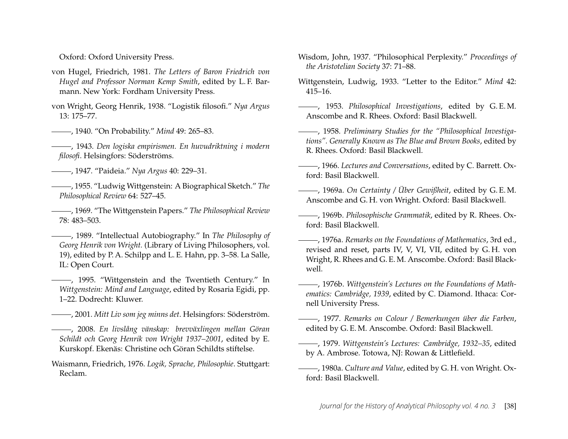Oxford: Oxford University Press.

- <span id="page-38-0"></span>von Hugel, Friedrich, 1981. *The Letters of Baron Friedrich von Hugel and Professor Norman Kemp Smith*, edited by L. F. Barmann. New York: Fordham University Press.
- <span id="page-38-9"></span>von Wright, Georg Henrik, 1938. "Logistik filosofi." *Nya Argus* 13: 175–77.
- <span id="page-38-13"></span>, 1940. "On Probability." *Mind* 49: 265–83.
- <span id="page-38-14"></span>, 1943. *Den logiska empirismen. En huvudriktning i modern filosofi*. Helsingfors: Söderströms.
- <span id="page-38-15"></span>, 1947. "Paideia." *Nya Argus* 40: 229–31.
- <span id="page-38-21"></span>, 1955. "Ludwig Wittgenstein: A Biographical Sketch." *The Philosophical Review* 64: 527–45.
- , 1969. "The Wittgenstein Papers." *The Philosophical Review* 78: 483–503.
- <span id="page-38-7"></span>, 1989. "Intellectual Autobiography." In *The Philosophy of Georg Henrik von Wright.* (Library of Living Philosophers, vol. 19), edited by P. A. Schilpp and L. E. Hahn, pp. 3–58. La Salle, IL: Open Court.
- <span id="page-38-11"></span>, 1995. "Wittgenstein and the Twentieth Century." In *Wittgenstein: Mind and Language*, edited by Rosaria Egidi, pp. 1–22. Dodrecht: Kluwer.
- <span id="page-38-8"></span>, 2001. *Mitt Liv som jeg minns det*. Helsingfors: Söderström.
- <span id="page-38-16"></span>, 2008. *En livslång vänskap: brevväxlingen mellan Göran Schildt och Georg Henrik von Wright 1937–2001*, edited by E. Kurskopf. Ekenäs: Christine och Göran Schildts stiftelse.
- <span id="page-38-2"></span>Waismann, Friedrich, 1976. *Logik, Sprache, Philosophie*. Stuttgart: Reclam.
- <span id="page-38-18"></span>Wisdom, John, 1937. "Philosophical Perplexity." *Proceedings of the Aristotelian Society* 37: 71–88.
- <span id="page-38-5"></span>Wittgenstein, Ludwig, 1933. "Letter to the Editor." *Mind* 42: 415–16.
- <span id="page-38-17"></span>, 1953. *Philosophical Investigations*, edited by G. E. M. Anscombe and R. Rhees. Oxford: Basil Blackwell.
- <span id="page-38-3"></span>, 1958. *Preliminary Studies for the "Philosophical Investigations". Generally Known as The Blue and Brown Books*, edited by R. Rhees. Oxford: Basil Blackwell.
- <span id="page-38-4"></span>, 1966. *Lectures and Conversations*, edited by C. Barrett. Oxford: Basil Blackwell.
- <span id="page-38-19"></span>, 1969a. *On Certainty / Über Gewißheit*, edited by G. E. M. Anscombe and G. H. von Wright. Oxford: Basil Blackwell.
- <span id="page-38-1"></span>, 1969b. *Philosophische Grammatik*, edited by R. Rhees. Oxford: Basil Blackwell.
- <span id="page-38-12"></span>, 1976a. *Remarks on the Foundations of Mathematics*, 3rd ed., revised and reset, parts IV, V, VI, VII, edited by G. H. von Wright, R. Rhees and G. E. M. Anscombe. Oxford: Basil Blackwell.
- <span id="page-38-6"></span>, 1976b. *Wittgenstein's Lectures on the Foundations of Mathematics: Cambridge, 1939*, edited by C. Diamond. Ithaca: Cornell University Press.
- <span id="page-38-20"></span>, 1977. *Remarks on Colour / Bemerkungen über die Farben*, edited by G. E. M. Anscombe. Oxford: Basil Blackwell.
- , 1979. *Wittgenstein's Lectures: Cambridge, 1932–35*, edited by A. Ambrose. Totowa, NJ: Rowan & Littlefield.
- <span id="page-38-10"></span>, 1980a. *Culture and Value*, edited by G. H. von Wright. Oxford: Basil Blackwell.